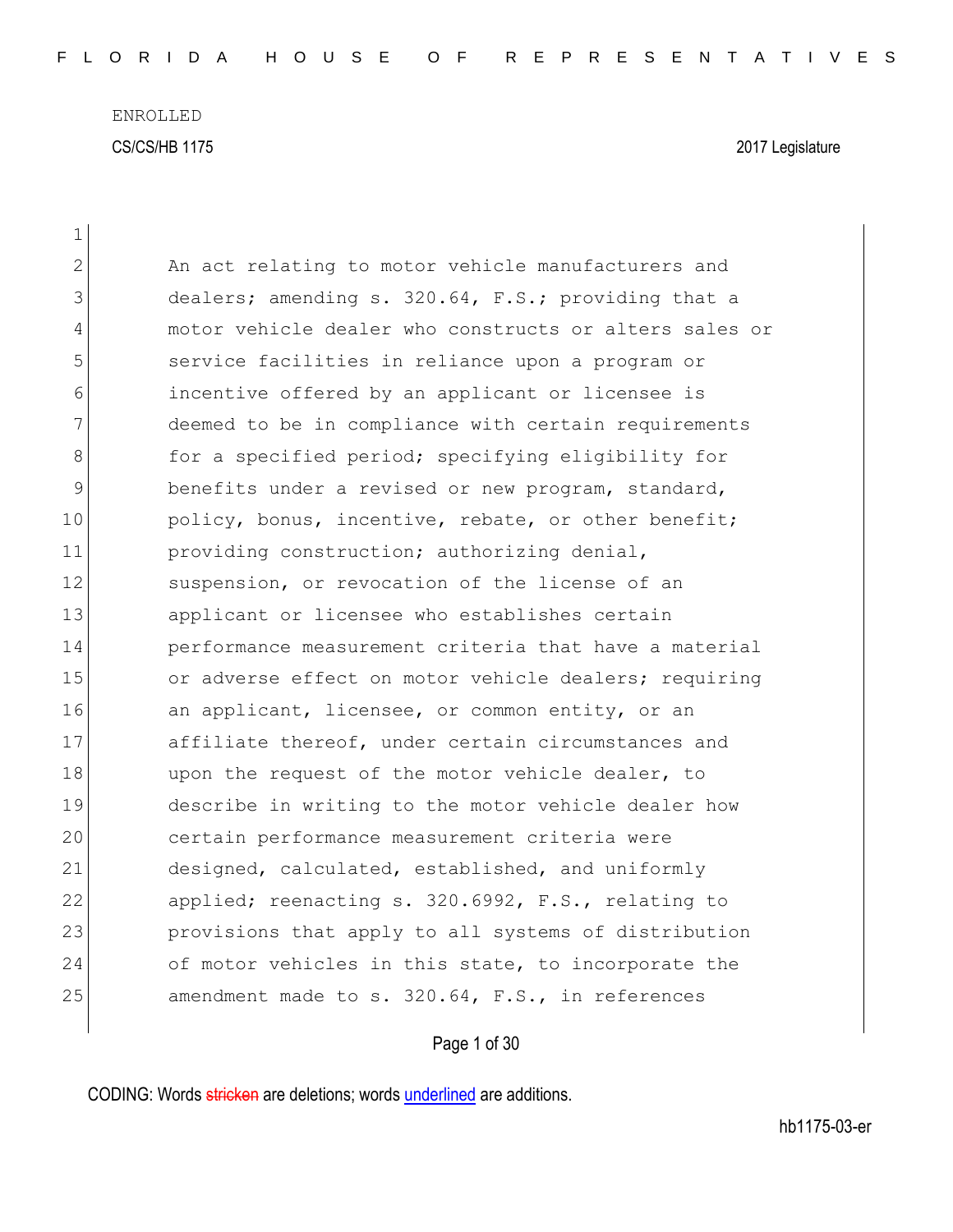| $\mathbf 1$   |                                                        |
|---------------|--------------------------------------------------------|
| $\mathbf{2}$  | An act relating to motor vehicle manufacturers and     |
| 3             | dealers; amending s. 320.64, F.S.; providing that a    |
| 4             | motor vehicle dealer who constructs or alters sales or |
| 5             | service facilities in reliance upon a program or       |
| 6             | incentive offered by an applicant or licensee is       |
| 7             | deemed to be in compliance with certain requirements   |
| 8             | for a specified period; specifying eligibility for     |
| $\mathcal{G}$ | benefits under a revised or new program, standard,     |
| 10            | policy, bonus, incentive, rebate, or other benefit;    |
| 11            | providing construction; authorizing denial,            |
| 12            | suspension, or revocation of the license of an         |
| 13            | applicant or licensee who establishes certain          |
| 14            | performance measurement criteria that have a material  |
| 15            | or adverse effect on motor vehicle dealers; requiring  |
| 16            | an applicant, licensee, or common entity, or an        |
| 17            | affiliate thereof, under certain circumstances and     |
| 18            | upon the request of the motor vehicle dealer, to       |
| 19            | describe in writing to the motor vehicle dealer how    |
| 20            | certain performance measurement criteria were          |
| 21            | designed, calculated, established, and uniformly       |
| 22            | applied; reenacting s. 320.6992, F.S., relating to     |
| 23            | provisions that apply to all systems of distribution   |
| 24            | of motor vehicles in this state, to incorporate the    |
| 25            | amendment made to s. 320.64, F.S., in references       |
|               |                                                        |

Page 1 of 30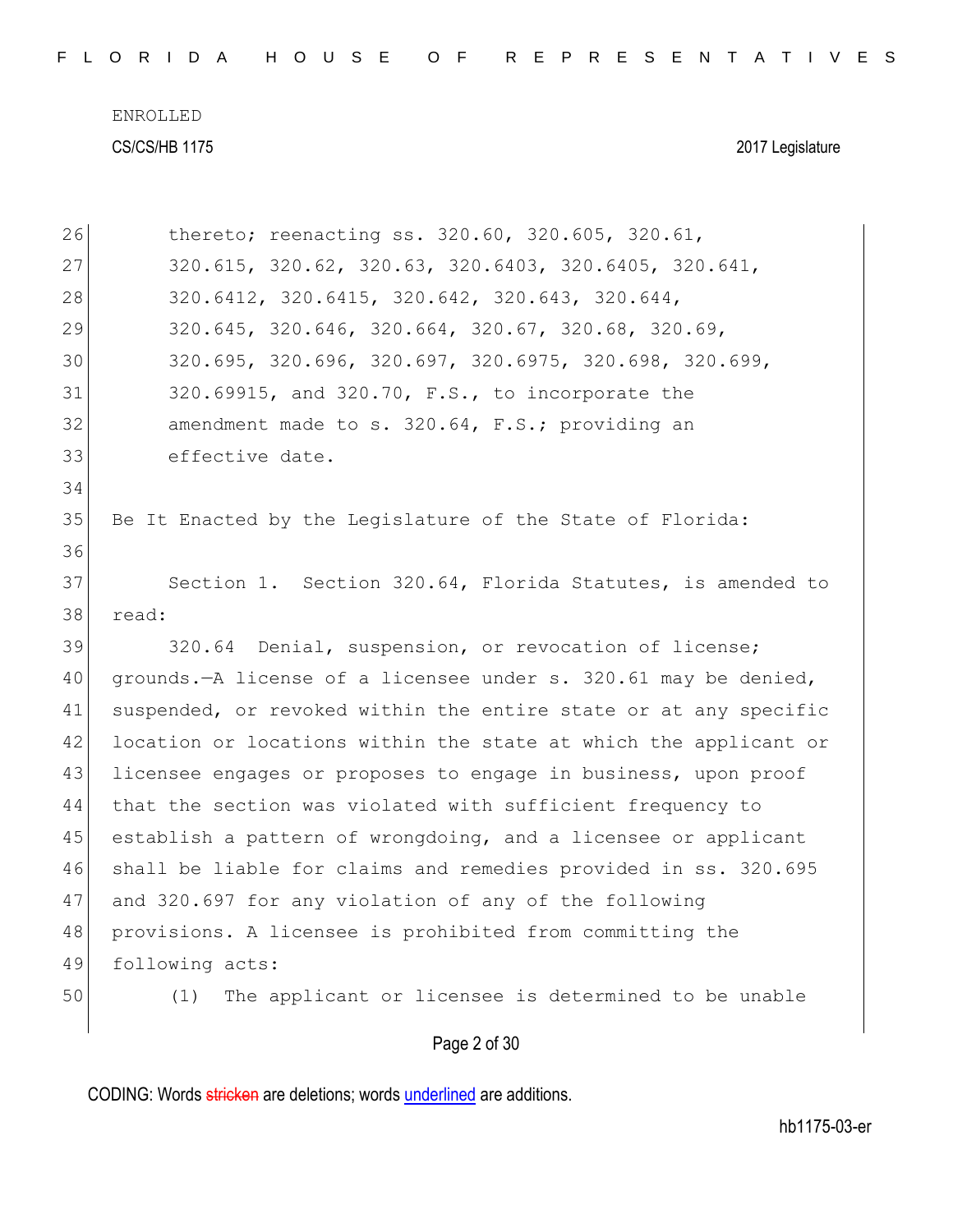|  |  |  |  |  |  |  |  |  |  |  |  |  | FLORIDA HOUSE OF REPRESENTATIVES |  |  |  |  |  |  |  |  |  |  |  |  |  |  |  |  |  |
|--|--|--|--|--|--|--|--|--|--|--|--|--|----------------------------------|--|--|--|--|--|--|--|--|--|--|--|--|--|--|--|--|--|
|--|--|--|--|--|--|--|--|--|--|--|--|--|----------------------------------|--|--|--|--|--|--|--|--|--|--|--|--|--|--|--|--|--|

| 26 | thereto; reenacting ss. 320.60, 320.605, 320.61,                 |
|----|------------------------------------------------------------------|
| 27 | 320.615, 320.62, 320.63, 320.6403, 320.6405, 320.641,            |
| 28 | 320.6412, 320.6415, 320.642, 320.643, 320.644,                   |
| 29 | 320.645, 320.646, 320.664, 320.67, 320.68, 320.69,               |
| 30 | 320.695, 320.696, 320.697, 320.6975, 320.698, 320.699,           |
| 31 | 320.69915, and 320.70, F.S., to incorporate the                  |
| 32 | amendment made to s. 320.64, F.S.; providing an                  |
| 33 | effective date.                                                  |
| 34 |                                                                  |
| 35 | Be It Enacted by the Legislature of the State of Florida:        |
| 36 |                                                                  |
| 37 | Section 1. Section 320.64, Florida Statutes, is amended to       |
| 38 | read:                                                            |
| 39 | 320.64 Denial, suspension, or revocation of license;             |
| 40 | grounds.-A license of a licensee under s. 320.61 may be denied,  |
| 41 | suspended, or revoked within the entire state or at any specific |
| 42 | location or locations within the state at which the applicant or |
| 43 | licensee engages or proposes to engage in business, upon proof   |
| 44 | that the section was violated with sufficient frequency to       |
| 45 | establish a pattern of wrongdoing, and a licensee or applicant   |
| 46 | shall be liable for claims and remedies provided in ss. 320.695  |
| 47 | and 320.697 for any violation of any of the following            |
| 48 | provisions. A licensee is prohibited from committing the         |
| 49 | following acts:                                                  |
| 50 | The applicant or licensee is determined to be unable<br>(1)      |
|    | Page 2 of 30                                                     |
|    |                                                                  |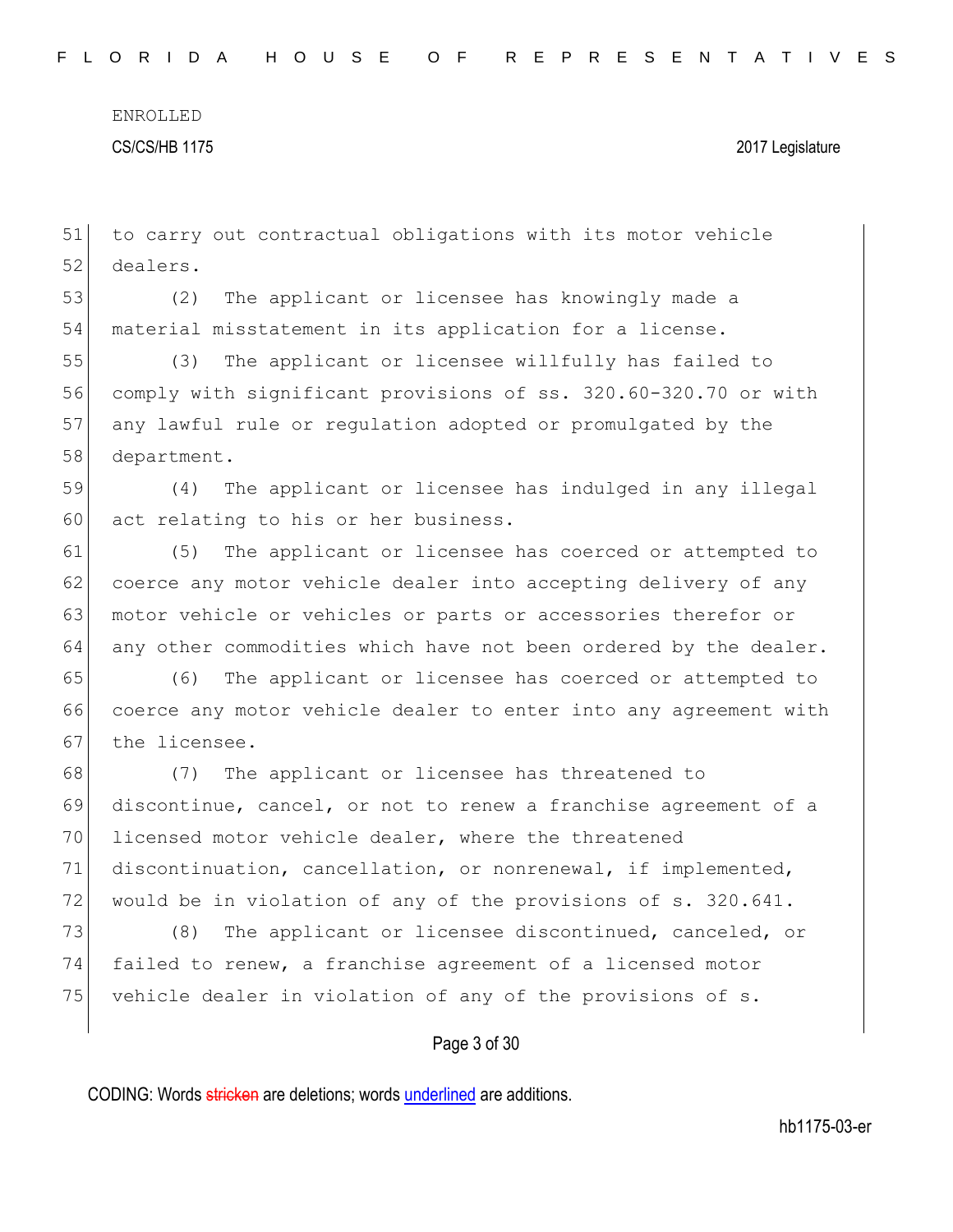51 to carry out contractual obligations with its motor vehicle 52 dealers.

53 (2) The applicant or licensee has knowingly made a 54 material misstatement in its application for a license.

 (3) The applicant or licensee willfully has failed to comply with significant provisions of ss. 320.60-320.70 or with any lawful rule or regulation adopted or promulgated by the 58 department.

59 (4) The applicant or licensee has indulged in any illegal 60 act relating to his or her business.

61 (5) The applicant or licensee has coerced or attempted to 62 coerce any motor vehicle dealer into accepting delivery of any 63 motor vehicle or vehicles or parts or accessories therefor or 64 any other commodities which have not been ordered by the dealer.

65 (6) The applicant or licensee has coerced or attempted to 66 coerce any motor vehicle dealer to enter into any agreement with 67 the licensee.

68 (7) The applicant or licensee has threatened to 69 discontinue, cancel, or not to renew a franchise agreement of a 70 licensed motor vehicle dealer, where the threatened 71 discontinuation, cancellation, or nonrenewal, if implemented, 72 would be in violation of any of the provisions of s. 320.641.

73 (8) The applicant or licensee discontinued, canceled, or 74 failed to renew, a franchise agreement of a licensed motor 75 vehicle dealer in violation of any of the provisions of s.

Page 3 of 30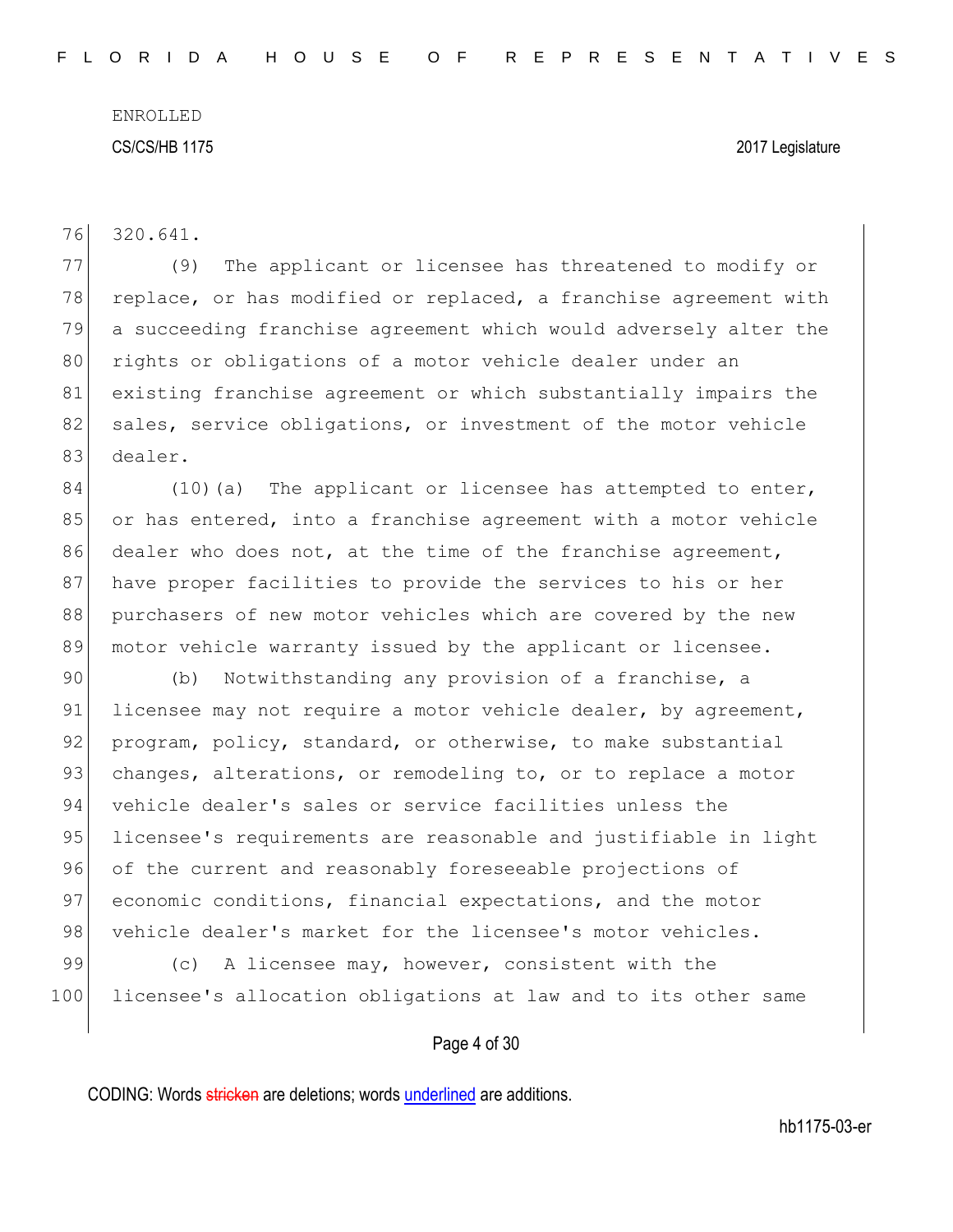76 320.641.

77 (9) The applicant or licensee has threatened to modify or 78 replace, or has modified or replaced, a franchise agreement with 79 a succeeding franchise agreement which would adversely alter the 80 rights or obligations of a motor vehicle dealer under an 81 existing franchise agreement or which substantially impairs the 82 sales, service obligations, or investment of the motor vehicle 83 dealer.

 $84$  (10)(a) The applicant or licensee has attempted to enter, 85 or has entered, into a franchise agreement with a motor vehicle 86 dealer who does not, at the time of the franchise agreement, 87 have proper facilities to provide the services to his or her 88 purchasers of new motor vehicles which are covered by the new 89 motor vehicle warranty issued by the applicant or licensee.

90 (b) Notwithstanding any provision of a franchise, a 91 licensee may not require a motor vehicle dealer, by agreement, 92 program, policy, standard, or otherwise, to make substantial 93 changes, alterations, or remodeling to, or to replace a motor 94 vehicle dealer's sales or service facilities unless the 95 licensee's requirements are reasonable and justifiable in light 96 of the current and reasonably foreseeable projections of 97 economic conditions, financial expectations, and the motor 98 vehicle dealer's market for the licensee's motor vehicles.

99 (c) A licensee may, however, consistent with the 100 licensee's allocation obligations at law and to its other same

Page 4 of 30

CODING: Words stricken are deletions; words underlined are additions.

hb1175-03-er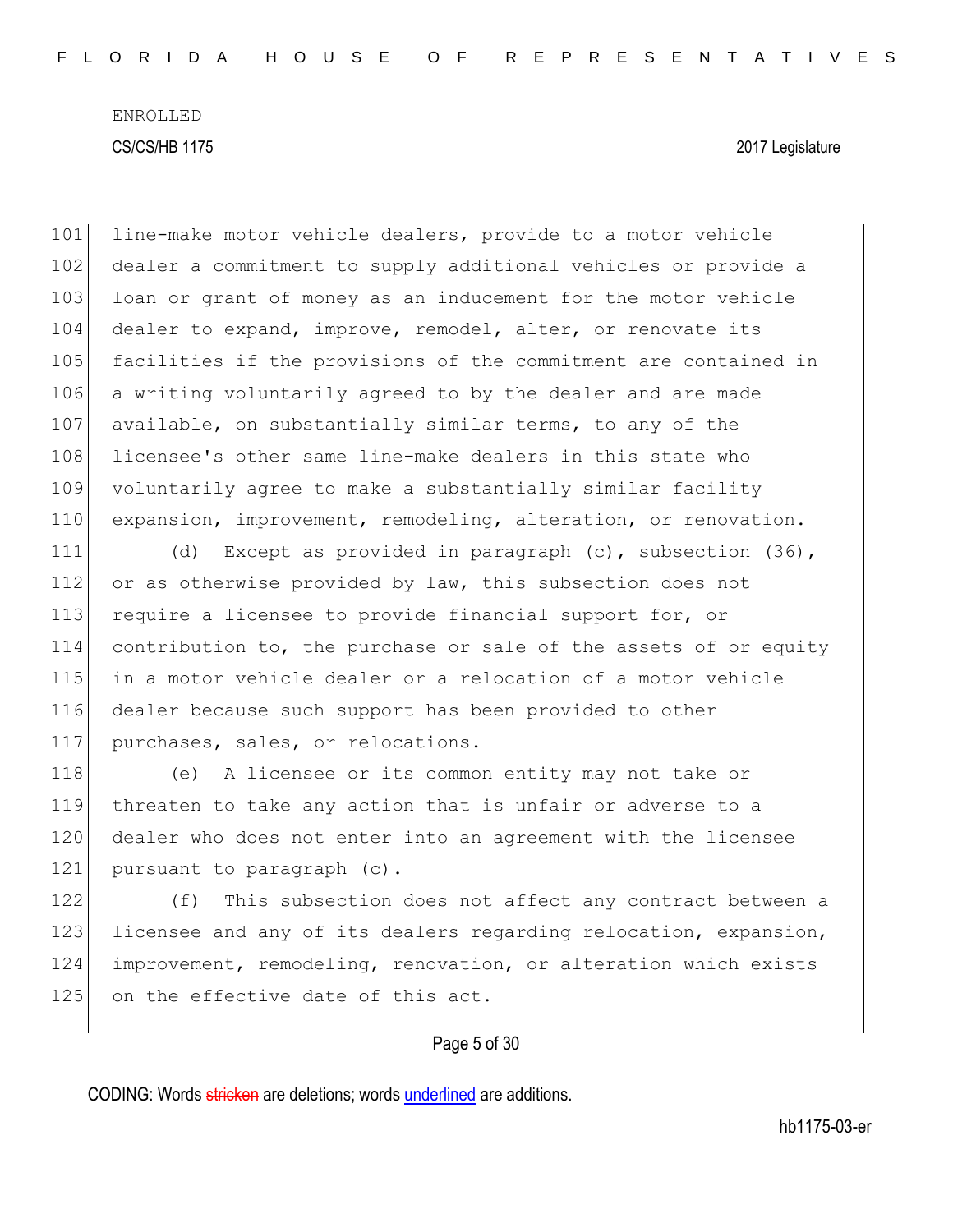101 line-make motor vehicle dealers, provide to a motor vehicle 102 dealer a commitment to supply additional vehicles or provide a 103 loan or grant of money as an inducement for the motor vehicle 104 dealer to expand, improve, remodel, alter, or renovate its 105 facilities if the provisions of the commitment are contained in 106 a writing voluntarily agreed to by the dealer and are made 107 available, on substantially similar terms, to any of the 108 licensee's other same line-make dealers in this state who 109 voluntarily agree to make a substantially similar facility 110 expansion, improvement, remodeling, alteration, or renovation.

111 (d) Except as provided in paragraph (c), subsection (36), 112 or as otherwise provided by law, this subsection does not 113 require a licensee to provide financial support for, or 114 contribution to, the purchase or sale of the assets of or equity 115 in a motor vehicle dealer or a relocation of a motor vehicle 116 dealer because such support has been provided to other 117 purchases, sales, or relocations.

118 (e) A licensee or its common entity may not take or 119 threaten to take any action that is unfair or adverse to a 120 dealer who does not enter into an agreement with the licensee 121 pursuant to paragraph (c).

122 (f) This subsection does not affect any contract between a 123 licensee and any of its dealers regarding relocation, expansion, 124 improvement, remodeling, renovation, or alteration which exists 125 on the effective date of this act.

#### Page 5 of 30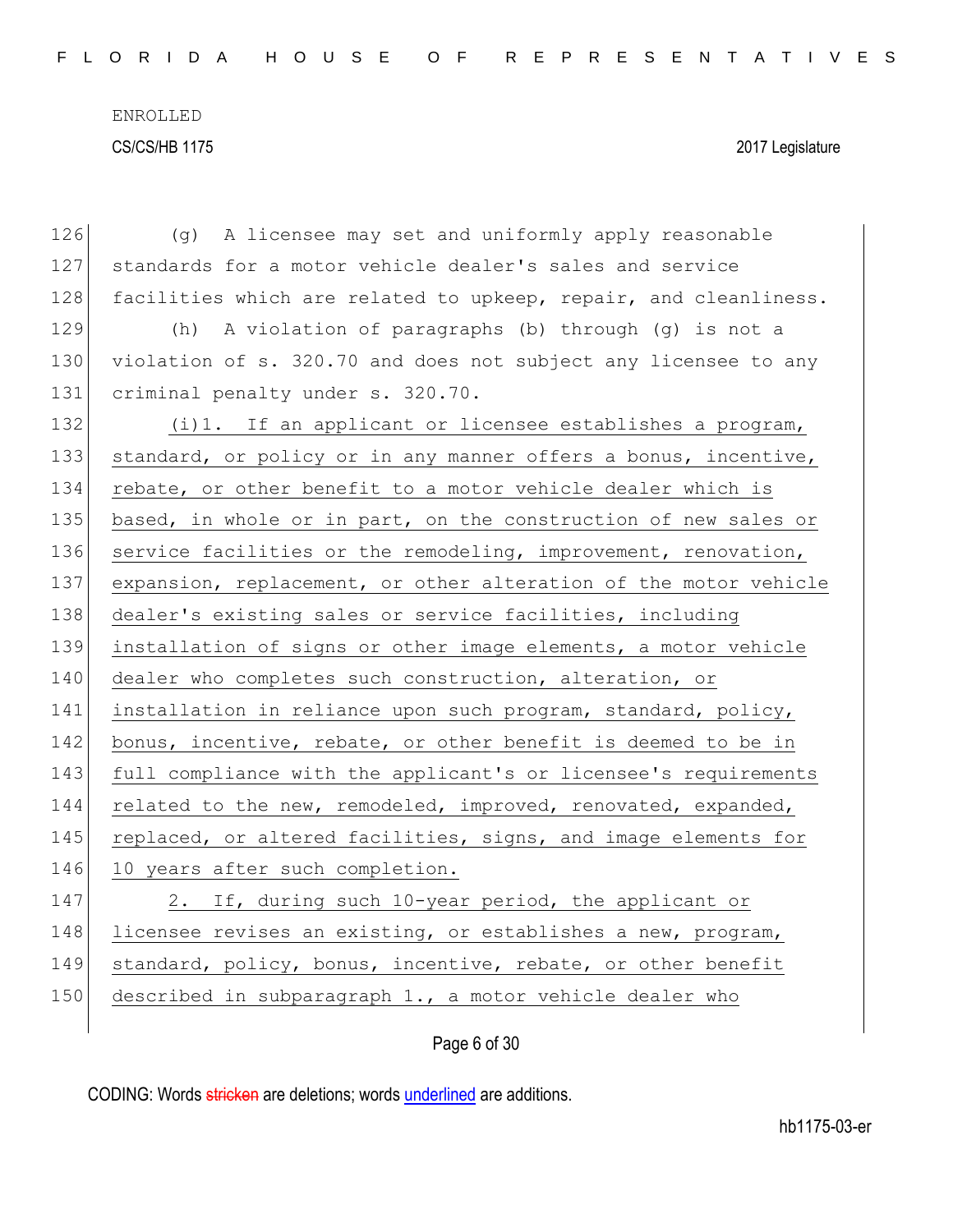| 126 | (g) A licensee may set and uniformly apply reasonable            |
|-----|------------------------------------------------------------------|
| 127 | standards for a motor vehicle dealer's sales and service         |
| 128 | facilities which are related to upkeep, repair, and cleanliness. |
| 129 | (h) A violation of paragraphs (b) through (g) is not a           |
| 130 | violation of s. 320.70 and does not subject any licensee to any  |
| 131 | criminal penalty under s. 320.70.                                |
| 132 | (i)1. If an applicant or licensee establishes a program,         |
| 133 | standard, or policy or in any manner offers a bonus, incentive,  |
| 134 | rebate, or other benefit to a motor vehicle dealer which is      |
| 135 | based, in whole or in part, on the construction of new sales or  |
| 136 | service facilities or the remodeling, improvement, renovation,   |
| 137 | expansion, replacement, or other alteration of the motor vehicle |
| 138 | dealer's existing sales or service facilities, including         |
| 139 | installation of signs or other image elements, a motor vehicle   |
| 140 | dealer who completes such construction, alteration, or           |
| 141 | installation in reliance upon such program, standard, policy,    |
| 142 | bonus, incentive, rebate, or other benefit is deemed to be in    |
| 143 | full compliance with the applicant's or licensee's requirements  |
| 144 | related to the new, remodeled, improved, renovated, expanded,    |
| 145 | replaced, or altered facilities, signs, and image elements for   |
| 146 | 10 years after such completion.                                  |
| 147 | 2. If, during such 10-year period, the applicant or              |
| 148 | licensee revises an existing, or establishes a new, program,     |
| 149 | standard, policy, bonus, incentive, rebate, or other benefit     |
| 150 | described in subparagraph 1., a motor vehicle dealer who         |
|     |                                                                  |

Page 6 of 30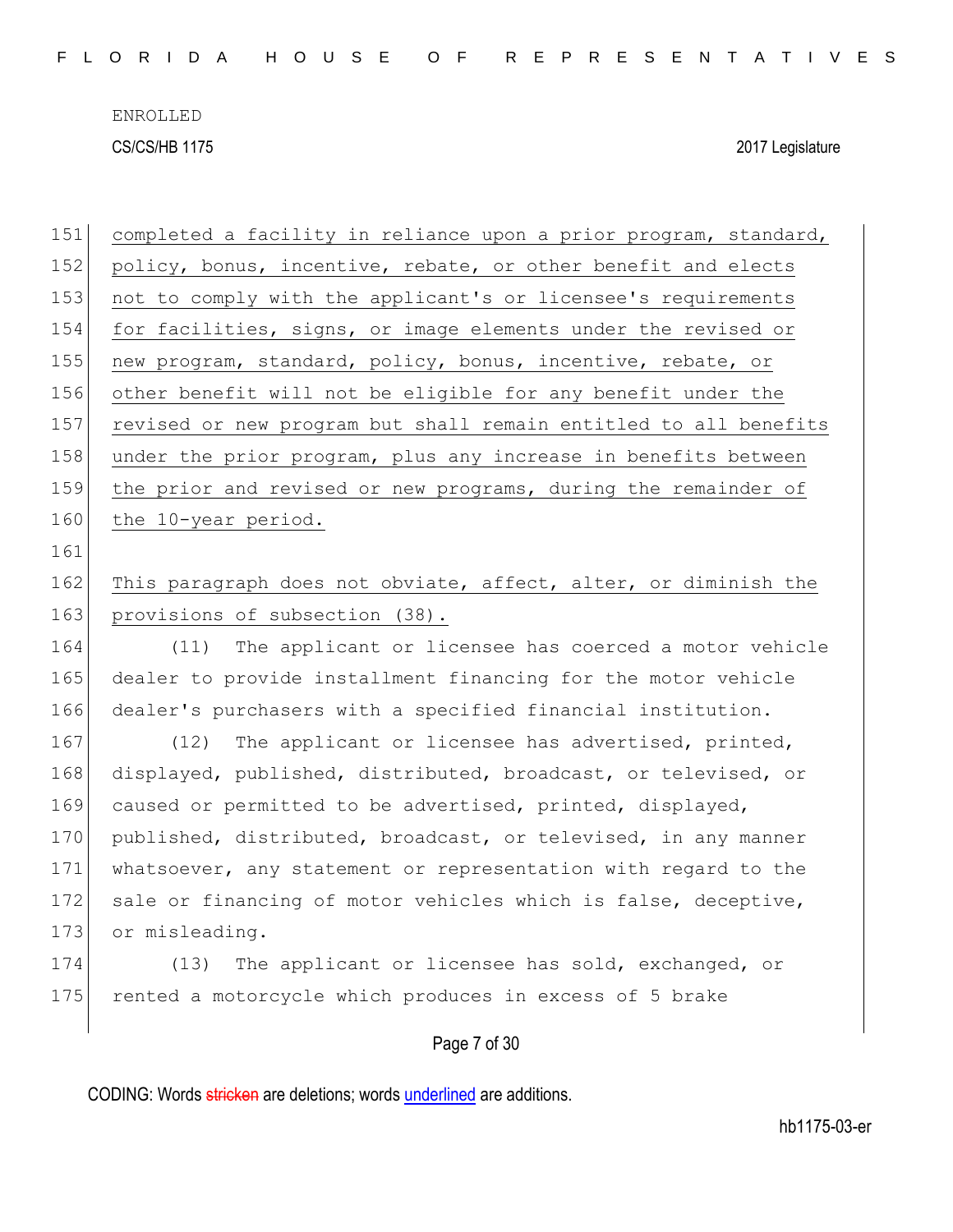151 completed a facility in reliance upon a prior program, standard, 152 policy, bonus, incentive, rebate, or other benefit and elects 153 not to comply with the applicant's or licensee's requirements 154 for facilities, signs, or image elements under the revised or 155 new program, standard, policy, bonus, incentive, rebate, or 156 other benefit will not be eligible for any benefit under the 157 revised or new program but shall remain entitled to all benefits 158 under the prior program, plus any increase in benefits between 159 the prior and revised or new programs, during the remainder of 160 the 10-year period. 161 162 This paragraph does not obviate, affect, alter, or diminish the 163 provisions of subsection (38). 164 (11) The applicant or licensee has coerced a motor vehicle 165 dealer to provide installment financing for the motor vehicle 166 dealer's purchasers with a specified financial institution. 167 (12) The applicant or licensee has advertised, printed, 168 displayed, published, distributed, broadcast, or televised, or 169 caused or permitted to be advertised, printed, displayed, 170 published, distributed, broadcast, or televised, in any manner 171 whatsoever, any statement or representation with regard to the

172 sale or financing of motor vehicles which is false, deceptive, 173 or misleading.

174 (13) The applicant or licensee has sold, exchanged, or 175 rented a motorcycle which produces in excess of 5 brake

Page 7 of 30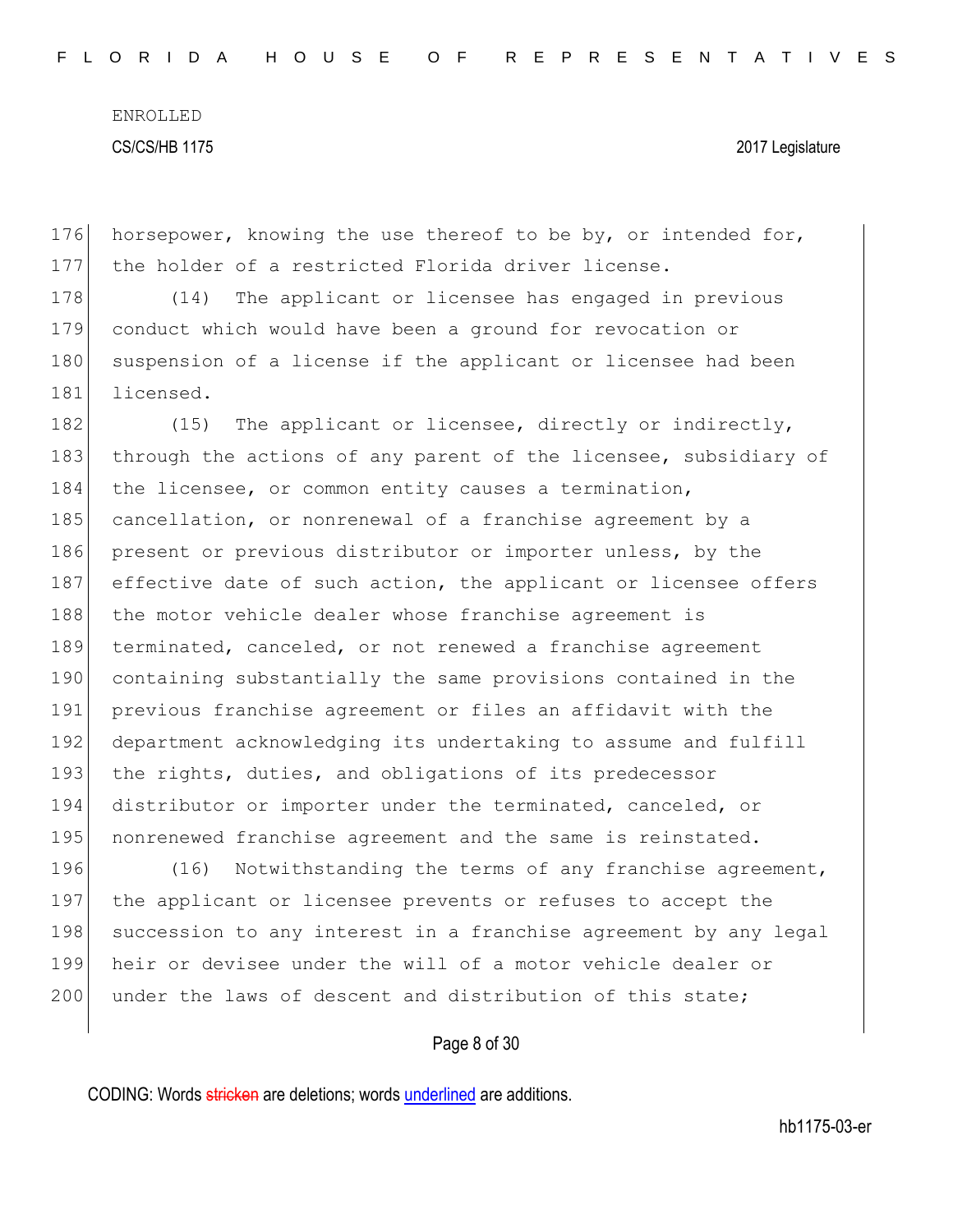176 horsepower, knowing the use thereof to be by, or intended for, 177 the holder of a restricted Florida driver license.

178 (14) The applicant or licensee has engaged in previous 179 conduct which would have been a ground for revocation or 180 suspension of a license if the applicant or licensee had been 181 licensed.

182 (15) The applicant or licensee, directly or indirectly, 183 through the actions of any parent of the licensee, subsidiary of 184 the licensee, or common entity causes a termination, 185 cancellation, or nonrenewal of a franchise agreement by a 186 present or previous distributor or importer unless, by the 187 effective date of such action, the applicant or licensee offers 188 the motor vehicle dealer whose franchise agreement is 189 terminated, canceled, or not renewed a franchise agreement 190 containing substantially the same provisions contained in the 191 previous franchise agreement or files an affidavit with the 192 department acknowledging its undertaking to assume and fulfill 193 the rights, duties, and obligations of its predecessor 194 distributor or importer under the terminated, canceled, or 195 nonrenewed franchise agreement and the same is reinstated.

196 (16) Notwithstanding the terms of any franchise agreement, 197 the applicant or licensee prevents or refuses to accept the 198 succession to any interest in a franchise agreement by any legal 199 heir or devisee under the will of a motor vehicle dealer or 200 under the laws of descent and distribution of this state;

Page 8 of 30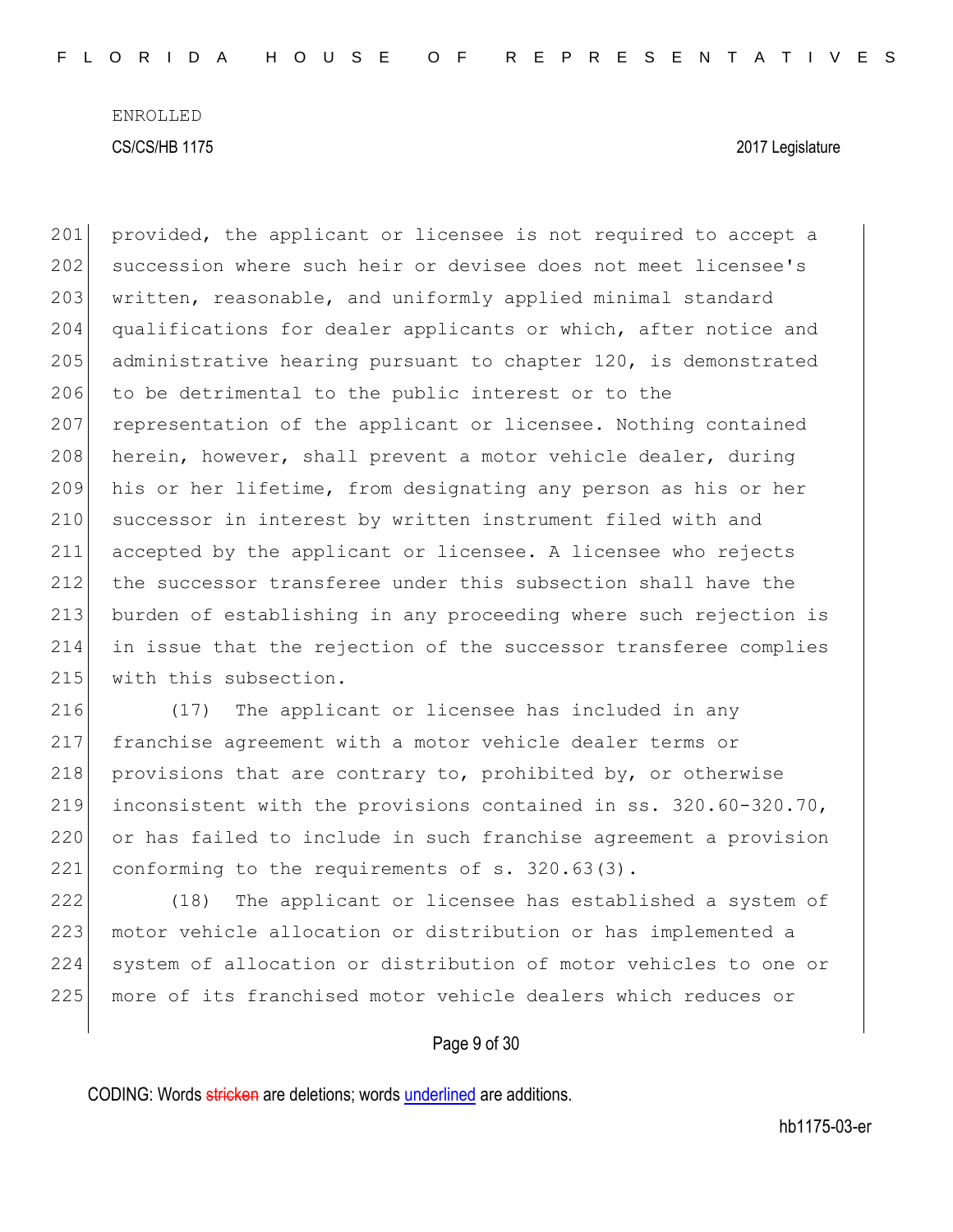201 provided, the applicant or licensee is not required to accept a 202 succession where such heir or devisee does not meet licensee's 203 written, reasonable, and uniformly applied minimal standard 204 qualifications for dealer applicants or which, after notice and 205 administrative hearing pursuant to chapter  $120$ , is demonstrated 206 to be detrimental to the public interest or to the 207 representation of the applicant or licensee. Nothing contained 208 herein, however, shall prevent a motor vehicle dealer, during 209 his or her lifetime, from designating any person as his or her 210 successor in interest by written instrument filed with and 211 accepted by the applicant or licensee. A licensee who rejects 212 the successor transferee under this subsection shall have the 213 burden of establishing in any proceeding where such rejection is 214 in issue that the rejection of the successor transferee complies 215 with this subsection.

216 (17) The applicant or licensee has included in any franchise agreement with a motor vehicle dealer terms or 218 provisions that are contrary to, prohibited by, or otherwise inconsistent with the provisions contained in ss. 320.60-320.70, or has failed to include in such franchise agreement a provision conforming to the requirements of s. 320.63(3).

222 (18) The applicant or licensee has established a system of 223 motor vehicle allocation or distribution or has implemented a 224 system of allocation or distribution of motor vehicles to one or 225 more of its franchised motor vehicle dealers which reduces or

#### Page 9 of 30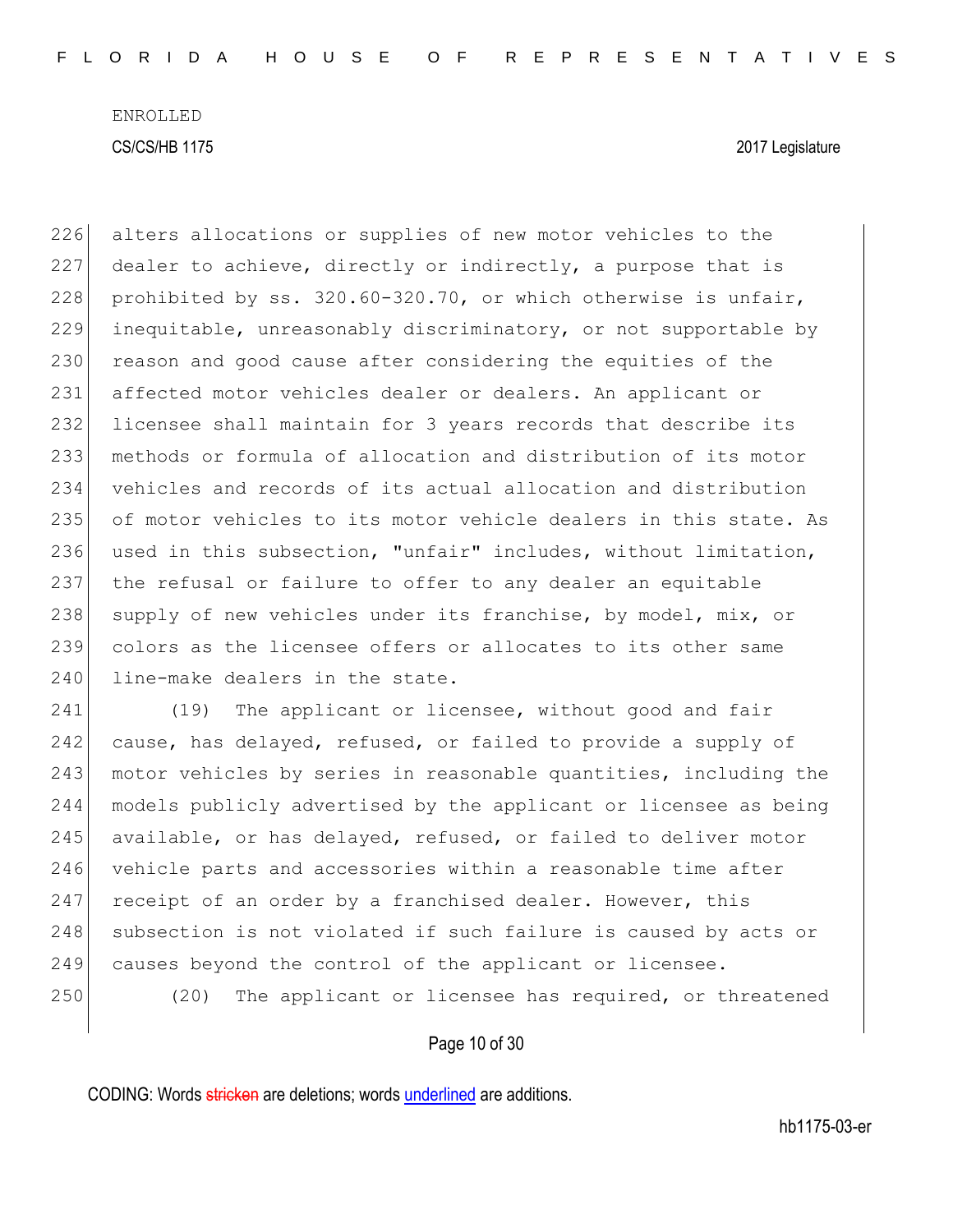226 alters allocations or supplies of new motor vehicles to the 227 dealer to achieve, directly or indirectly, a purpose that is 228 prohibited by ss. 320.60-320.70, or which otherwise is unfair, 229 inequitable, unreasonably discriminatory, or not supportable by 230 reason and good cause after considering the equities of the 231 affected motor vehicles dealer or dealers. An applicant or 232 licensee shall maintain for 3 years records that describe its 233 methods or formula of allocation and distribution of its motor 234 vehicles and records of its actual allocation and distribution 235 of motor vehicles to its motor vehicle dealers in this state. As 236 used in this subsection, "unfair" includes, without limitation, 237 the refusal or failure to offer to any dealer an equitable 238 supply of new vehicles under its franchise, by model, mix, or 239 colors as the licensee offers or allocates to its other same 240 line-make dealers in the state.

241 (19) The applicant or licensee, without good and fair 242 cause, has delayed, refused, or failed to provide a supply of 243 motor vehicles by series in reasonable quantities, including the 244 models publicly advertised by the applicant or licensee as being 245 available, or has delayed, refused, or failed to deliver motor 246 vehicle parts and accessories within a reasonable time after 247 receipt of an order by a franchised dealer. However, this 248 subsection is not violated if such failure is caused by acts or 249 causes beyond the control of the applicant or licensee. 250 (20) The applicant or licensee has required, or threatened

### Page 10 of 30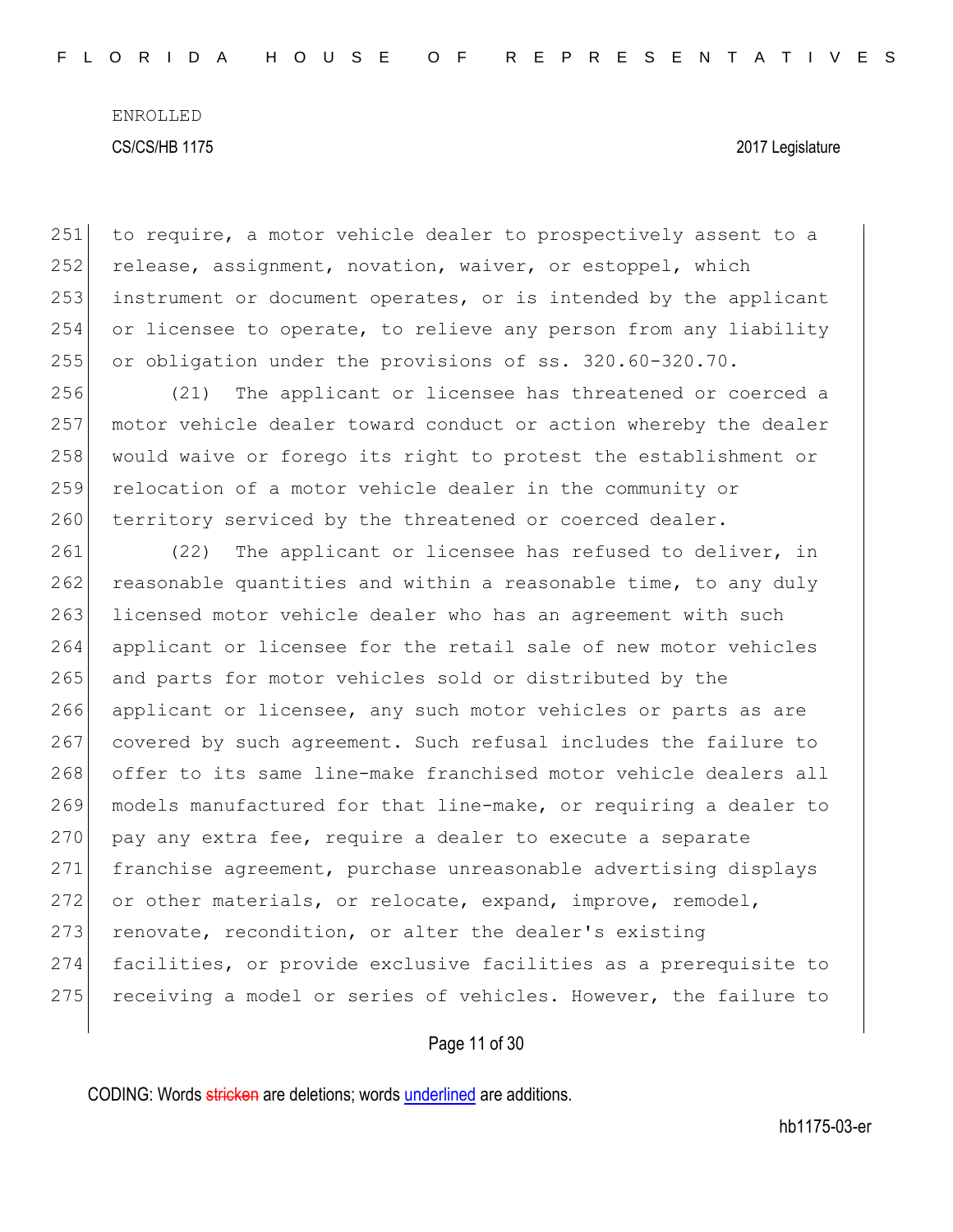251 to require, a motor vehicle dealer to prospectively assent to a 252 release, assignment, novation, waiver, or estoppel, which 253 instrument or document operates, or is intended by the applicant 254 or licensee to operate, to relieve any person from any liability 255 or obligation under the provisions of ss. 320.60-320.70. 256 (21) The applicant or licensee has threatened or coerced a

257 motor vehicle dealer toward conduct or action whereby the dealer 258 would waive or forego its right to protest the establishment or 259 relocation of a motor vehicle dealer in the community or 260 territory serviced by the threatened or coerced dealer.

261 (22) The applicant or licensee has refused to deliver, in 262 reasonable quantities and within a reasonable time, to any duly 263 licensed motor vehicle dealer who has an agreement with such 264 applicant or licensee for the retail sale of new motor vehicles 265 and parts for motor vehicles sold or distributed by the 266 applicant or licensee, any such motor vehicles or parts as are 267 covered by such agreement. Such refusal includes the failure to 268 offer to its same line-make franchised motor vehicle dealers all 269 models manufactured for that line-make, or requiring a dealer to  $270$  pay any extra fee, require a dealer to execute a separate 271 franchise agreement, purchase unreasonable advertising displays 272 or other materials, or relocate, expand, improve, remodel, 273 renovate, recondition, or alter the dealer's existing 274 facilities, or provide exclusive facilities as a prerequisite to 275 receiving a model or series of vehicles. However, the failure to

Page 11 of 30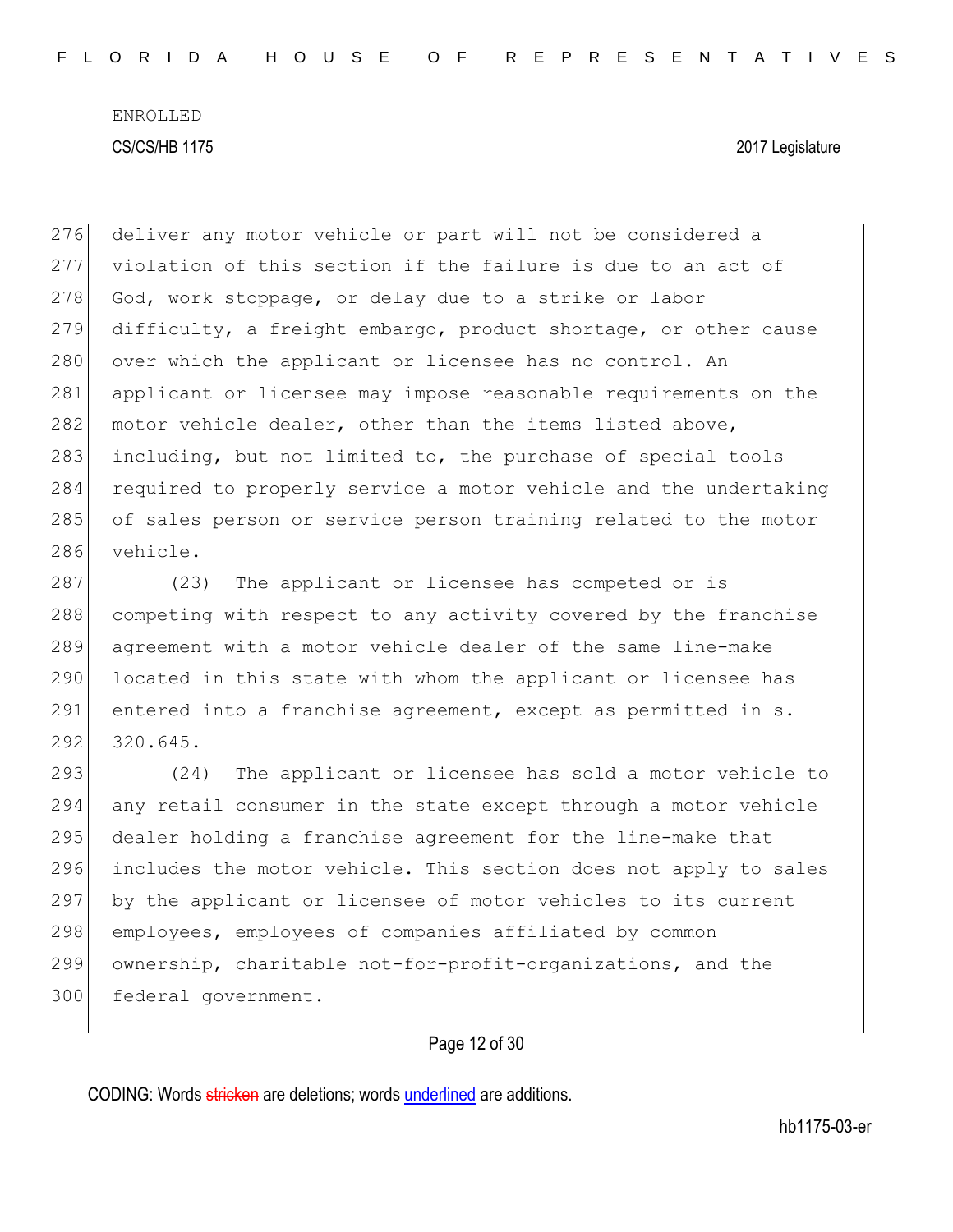276 deliver any motor vehicle or part will not be considered a 277 violation of this section if the failure is due to an act of 278 God, work stoppage, or delay due to a strike or labor 279 difficulty, a freight embargo, product shortage, or other cause 280 over which the applicant or licensee has no control. An 281 applicant or licensee may impose reasonable requirements on the 282 motor vehicle dealer, other than the items listed above, 283 including, but not limited to, the purchase of special tools 284 required to properly service a motor vehicle and the undertaking 285 of sales person or service person training related to the motor 286 vehicle.

287 (23) The applicant or licensee has competed or is 288 competing with respect to any activity covered by the franchise 289 agreement with a motor vehicle dealer of the same line-make 290 located in this state with whom the applicant or licensee has 291 entered into a franchise agreement, except as permitted in s. 292 320.645.

293 (24) The applicant or licensee has sold a motor vehicle to 294 any retail consumer in the state except through a motor vehicle 295 dealer holding a franchise agreement for the line-make that 296 includes the motor vehicle. This section does not apply to sales 297 by the applicant or licensee of motor vehicles to its current 298 employees, employees of companies affiliated by common 299 ownership, charitable not-for-profit-organizations, and the 300 federal government.

Page 12 of 30

CODING: Words stricken are deletions; words underlined are additions.

hb1175-03-er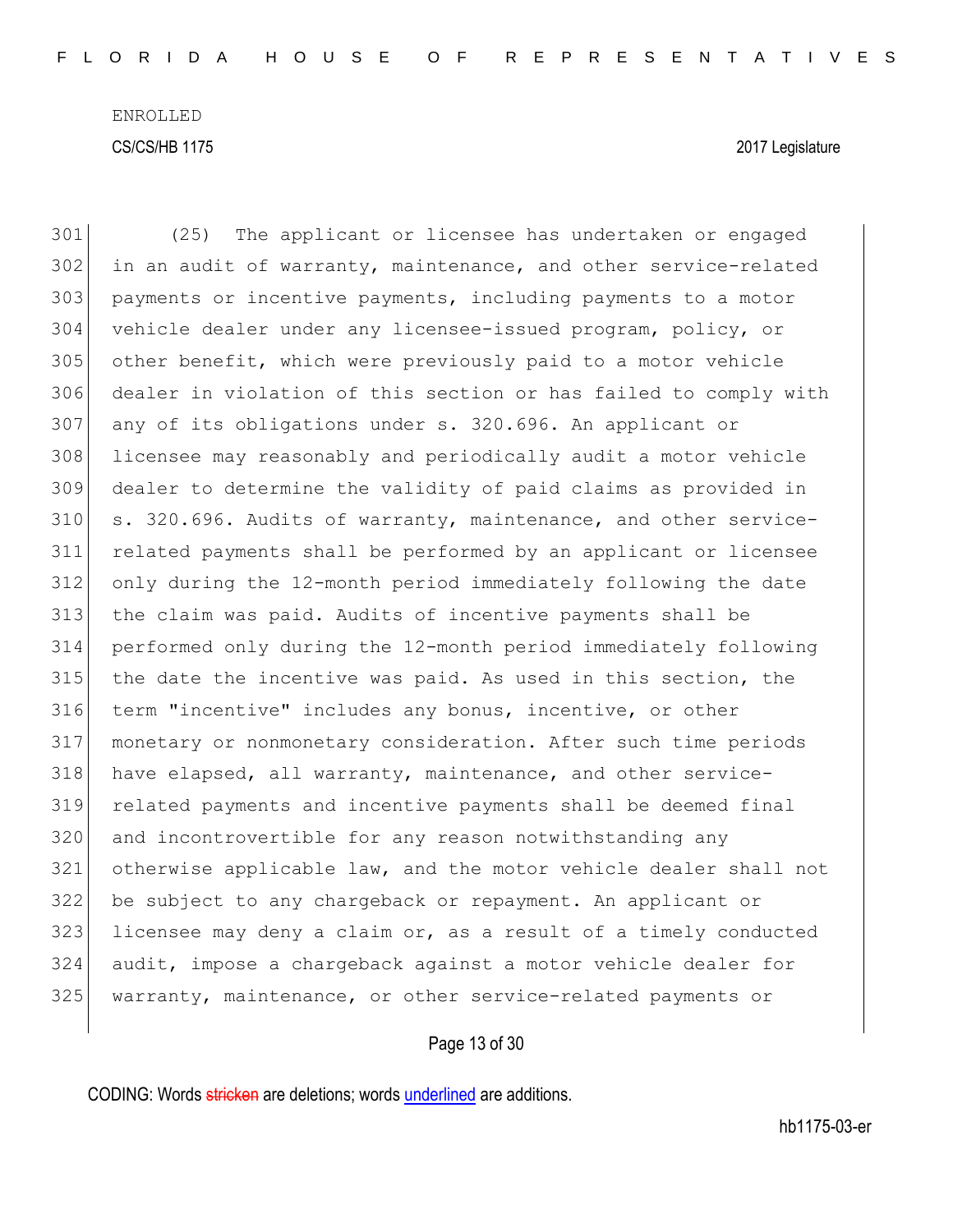(25) The applicant or licensee has undertaken or engaged in an audit of warranty, maintenance, and other service-related payments or incentive payments, including payments to a motor vehicle dealer under any licensee-issued program, policy, or other benefit, which were previously paid to a motor vehicle dealer in violation of this section or has failed to comply with any of its obligations under s. 320.696. An applicant or licensee may reasonably and periodically audit a motor vehicle dealer to determine the validity of paid claims as provided in s.  $320.696$ . Audits of warranty, maintenance, and other service- related payments shall be performed by an applicant or licensee only during the 12-month period immediately following the date the claim was paid. Audits of incentive payments shall be performed only during the 12-month period immediately following the date the incentive was paid. As used in this section, the term "incentive" includes any bonus, incentive, or other monetary or nonmonetary consideration. After such time periods 318 have elapsed, all warranty, maintenance, and other service- related payments and incentive payments shall be deemed final 320 and incontrovertible for any reason notwithstanding any otherwise applicable law, and the motor vehicle dealer shall not be subject to any chargeback or repayment. An applicant or licensee may deny a claim or, as a result of a timely conducted audit, impose a chargeback against a motor vehicle dealer for warranty, maintenance, or other service-related payments or

### Page 13 of 30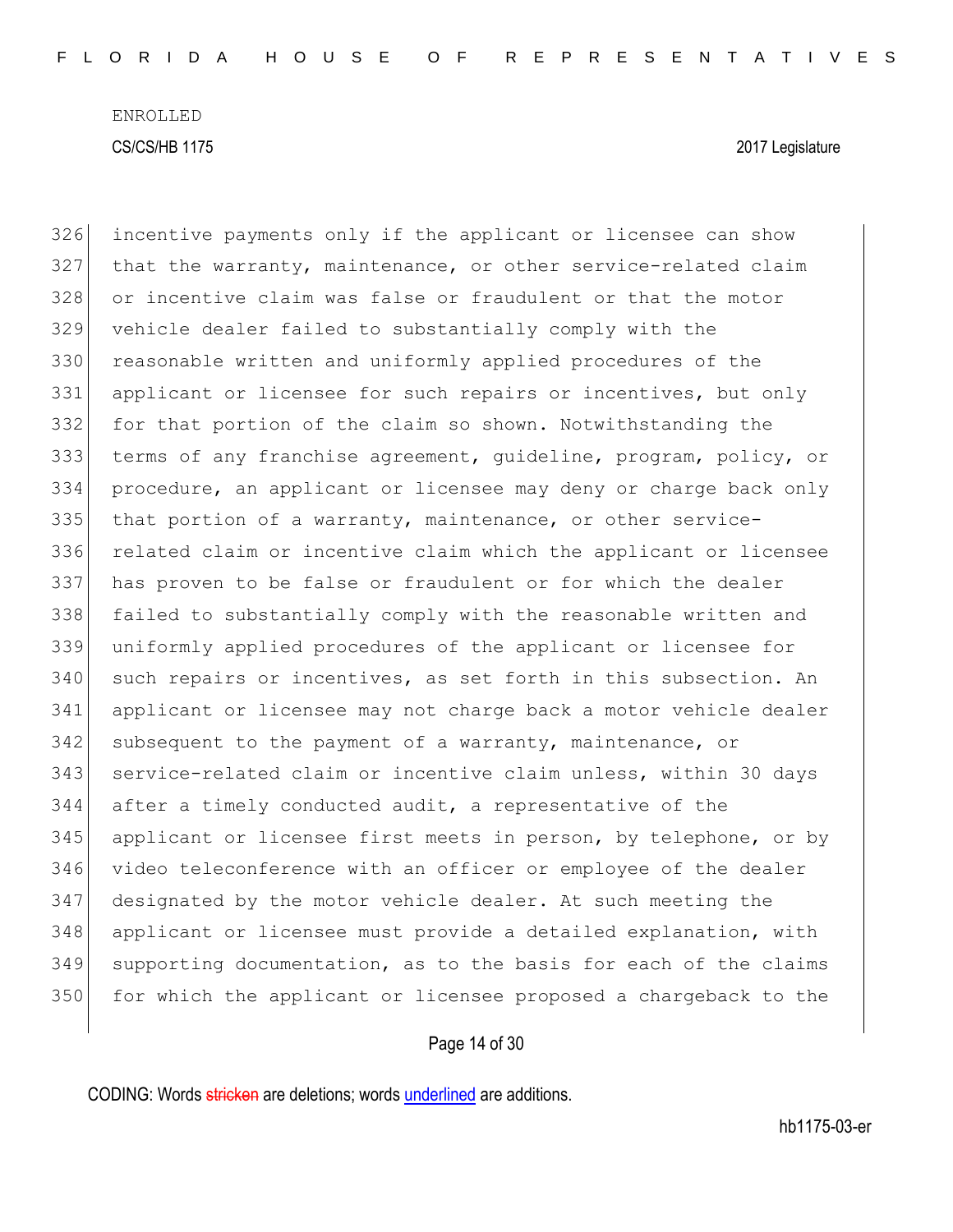incentive payments only if the applicant or licensee can show that the warranty, maintenance, or other service-related claim or incentive claim was false or fraudulent or that the motor vehicle dealer failed to substantially comply with the 330 reasonable written and uniformly applied procedures of the 331 applicant or licensee for such repairs or incentives, but only for that portion of the claim so shown. Notwithstanding the terms of any franchise agreement, guideline, program, policy, or procedure, an applicant or licensee may deny or charge back only 335 that portion of a warranty, maintenance, or other service- related claim or incentive claim which the applicant or licensee has proven to be false or fraudulent or for which the dealer 338 failed to substantially comply with the reasonable written and uniformly applied procedures of the applicant or licensee for 340 such repairs or incentives, as set forth in this subsection. An applicant or licensee may not charge back a motor vehicle dealer subsequent to the payment of a warranty, maintenance, or service-related claim or incentive claim unless, within 30 days after a timely conducted audit, a representative of the applicant or licensee first meets in person, by telephone, or by video teleconference with an officer or employee of the dealer designated by the motor vehicle dealer. At such meeting the applicant or licensee must provide a detailed explanation, with supporting documentation, as to the basis for each of the claims 350 for which the applicant or licensee proposed a chargeback to the

### Page 14 of 30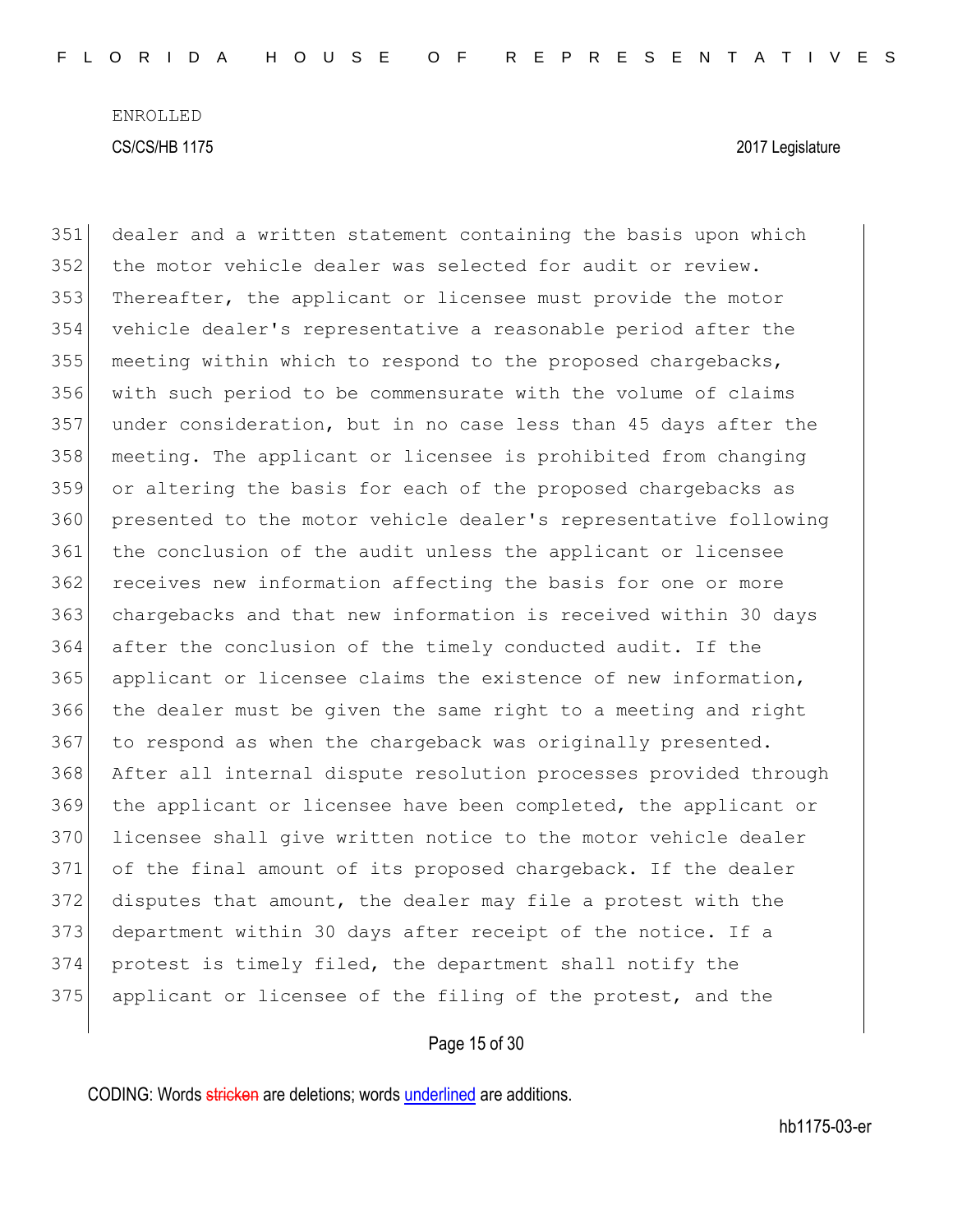dealer and a written statement containing the basis upon which 352 the motor vehicle dealer was selected for audit or review. Thereafter, the applicant or licensee must provide the motor vehicle dealer's representative a reasonable period after the meeting within which to respond to the proposed chargebacks, with such period to be commensurate with the volume of claims under consideration, but in no case less than 45 days after the meeting. The applicant or licensee is prohibited from changing or altering the basis for each of the proposed chargebacks as presented to the motor vehicle dealer's representative following 361 the conclusion of the audit unless the applicant or licensee receives new information affecting the basis for one or more chargebacks and that new information is received within 30 days after the conclusion of the timely conducted audit. If the applicant or licensee claims the existence of new information, the dealer must be given the same right to a meeting and right 367 to respond as when the chargeback was originally presented. After all internal dispute resolution processes provided through the applicant or licensee have been completed, the applicant or 370 licensee shall give written notice to the motor vehicle dealer of the final amount of its proposed chargeback. If the dealer 372 disputes that amount, the dealer may file a protest with the department within 30 days after receipt of the notice. If a protest is timely filed, the department shall notify the applicant or licensee of the filing of the protest, and the

Page 15 of 30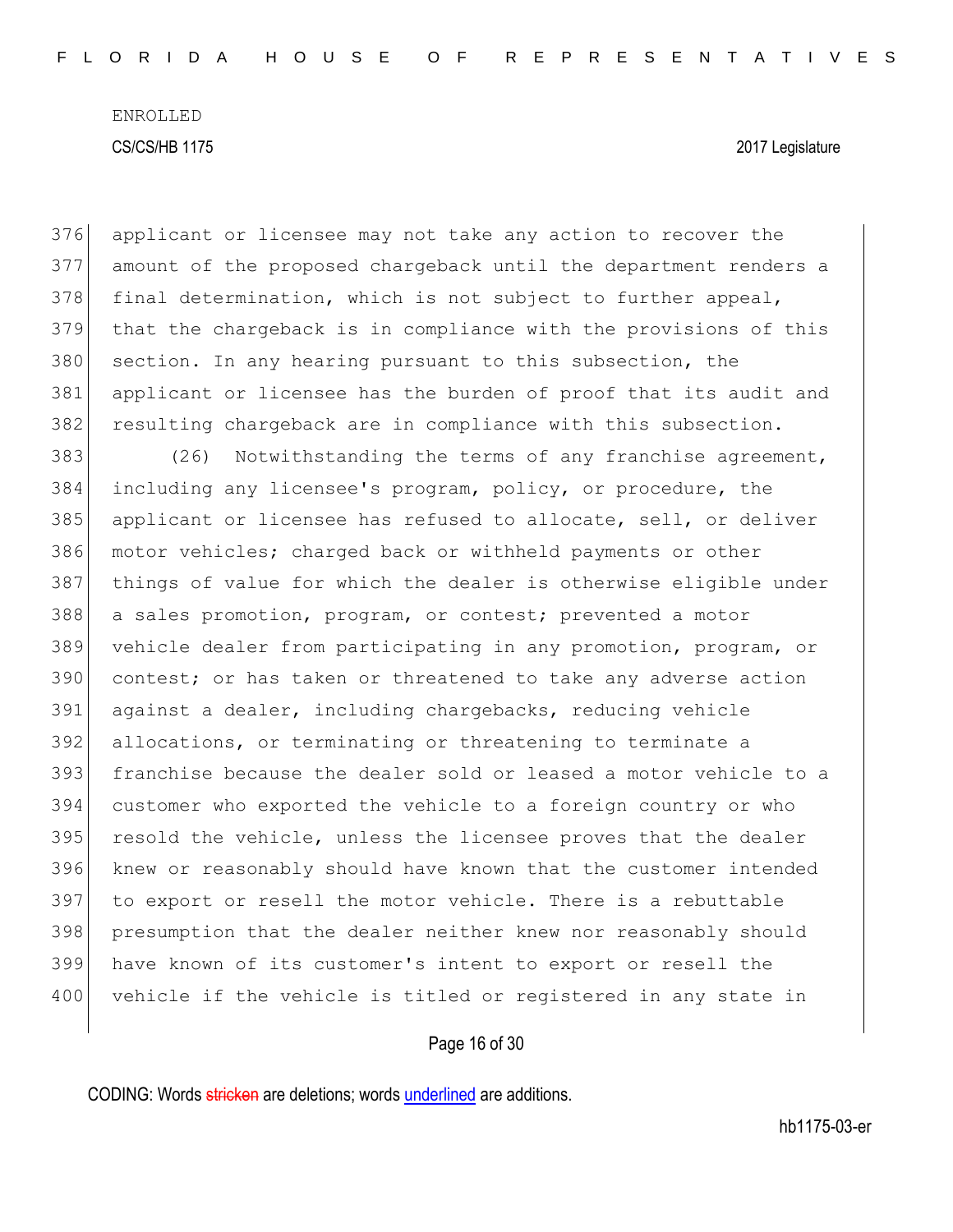applicant or licensee may not take any action to recover the amount of the proposed chargeback until the department renders a final determination, which is not subject to further appeal, that the chargeback is in compliance with the provisions of this 380 section. In any hearing pursuant to this subsection, the applicant or licensee has the burden of proof that its audit and 382 resulting chargeback are in compliance with this subsection. 383 (26) Notwithstanding the terms of any franchise agreement, including any licensee's program, policy, or procedure, the applicant or licensee has refused to allocate, sell, or deliver 386 motor vehicles; charged back or withheld payments or other things of value for which the dealer is otherwise eligible under a sales promotion, program, or contest; prevented a motor vehicle dealer from participating in any promotion, program, or 390 contest; or has taken or threatened to take any adverse action 391 against a dealer, including chargebacks, reducing vehicle allocations, or terminating or threatening to terminate a franchise because the dealer sold or leased a motor vehicle to a customer who exported the vehicle to a foreign country or who 395 resold the vehicle, unless the licensee proves that the dealer knew or reasonably should have known that the customer intended to export or resell the motor vehicle. There is a rebuttable presumption that the dealer neither knew nor reasonably should have known of its customer's intent to export or resell the 400 vehicle if the vehicle is titled or registered in any state in

### Page 16 of 30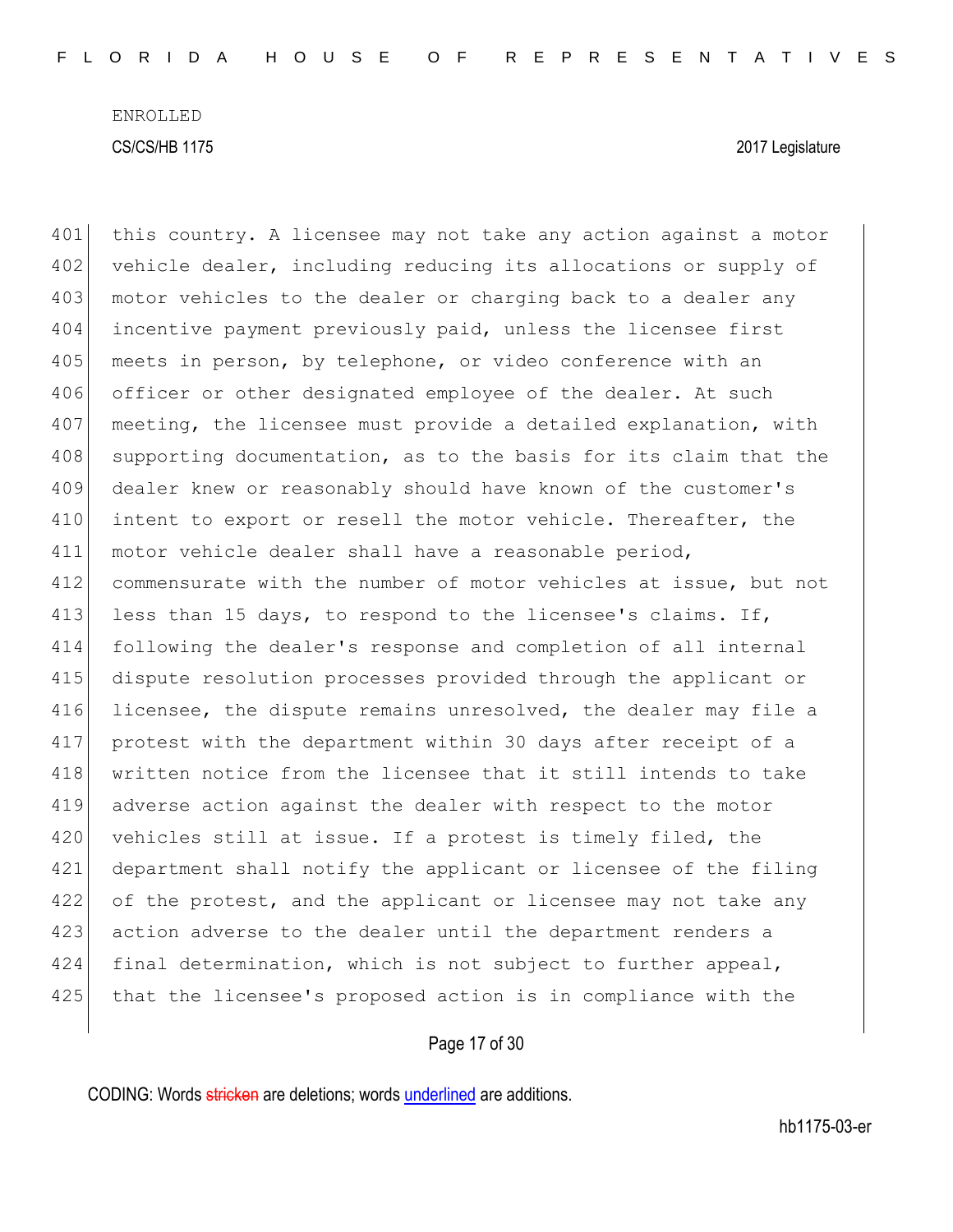401 this country. A licensee may not take any action against a motor 402 vehicle dealer, including reducing its allocations or supply of 403 motor vehicles to the dealer or charging back to a dealer any 404 incentive payment previously paid, unless the licensee first 405 meets in person, by telephone, or video conference with an 406 officer or other designated employee of the dealer. At such 407 meeting, the licensee must provide a detailed explanation, with 408 supporting documentation, as to the basis for its claim that the 409 dealer knew or reasonably should have known of the customer's 410 intent to export or resell the motor vehicle. Thereafter, the 411 motor vehicle dealer shall have a reasonable period, 412 commensurate with the number of motor vehicles at issue, but not 413 less than 15 days, to respond to the licensee's claims. If, 414 following the dealer's response and completion of all internal 415 dispute resolution processes provided through the applicant or 416 licensee, the dispute remains unresolved, the dealer may file a 417 protest with the department within 30 days after receipt of a 418 written notice from the licensee that it still intends to take 419 adverse action against the dealer with respect to the motor 420 vehicles still at issue. If a protest is timely filed, the 421 department shall notify the applicant or licensee of the filing 422 of the protest, and the applicant or licensee may not take any 423 action adverse to the dealer until the department renders a 424 final determination, which is not subject to further appeal, 425 that the licensee's proposed action is in compliance with the

### Page 17 of 30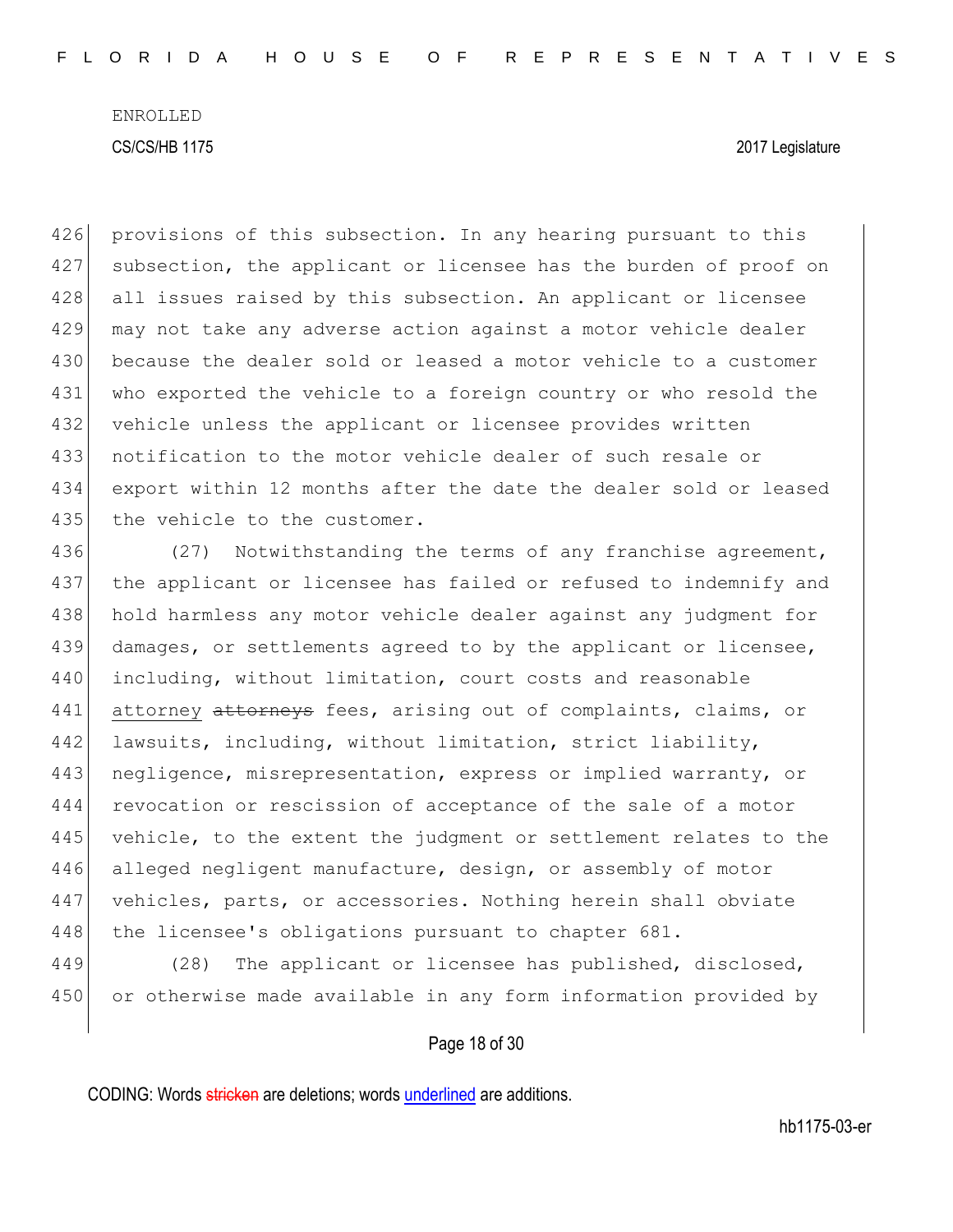426 provisions of this subsection. In any hearing pursuant to this 427 subsection, the applicant or licensee has the burden of proof on 428 all issues raised by this subsection. An applicant or licensee 429 may not take any adverse action against a motor vehicle dealer 430 because the dealer sold or leased a motor vehicle to a customer 431 who exported the vehicle to a foreign country or who resold the 432 vehicle unless the applicant or licensee provides written 433 | notification to the motor vehicle dealer of such resale or 434 export within 12 months after the date the dealer sold or leased 435 the vehicle to the customer.

436 (27) Notwithstanding the terms of any franchise agreement, 437 the applicant or licensee has failed or refused to indemnify and 438 hold harmless any motor vehicle dealer against any judgment for 439 damages, or settlements agreed to by the applicant or licensee, 440 including, without limitation, court costs and reasonable 441 attorney attorneys fees, arising out of complaints, claims, or 442 lawsuits, including, without limitation, strict liability, 443 negligence, misrepresentation, express or implied warranty, or 444 revocation or rescission of acceptance of the sale of a motor 445 vehicle, to the extent the judgment or settlement relates to the 446 alleged negligent manufacture, design, or assembly of motor 447 vehicles, parts, or accessories. Nothing herein shall obviate 448 the licensee's obligations pursuant to chapter 681.

449 (28) The applicant or licensee has published, disclosed, 450 or otherwise made available in any form information provided by

Page 18 of 30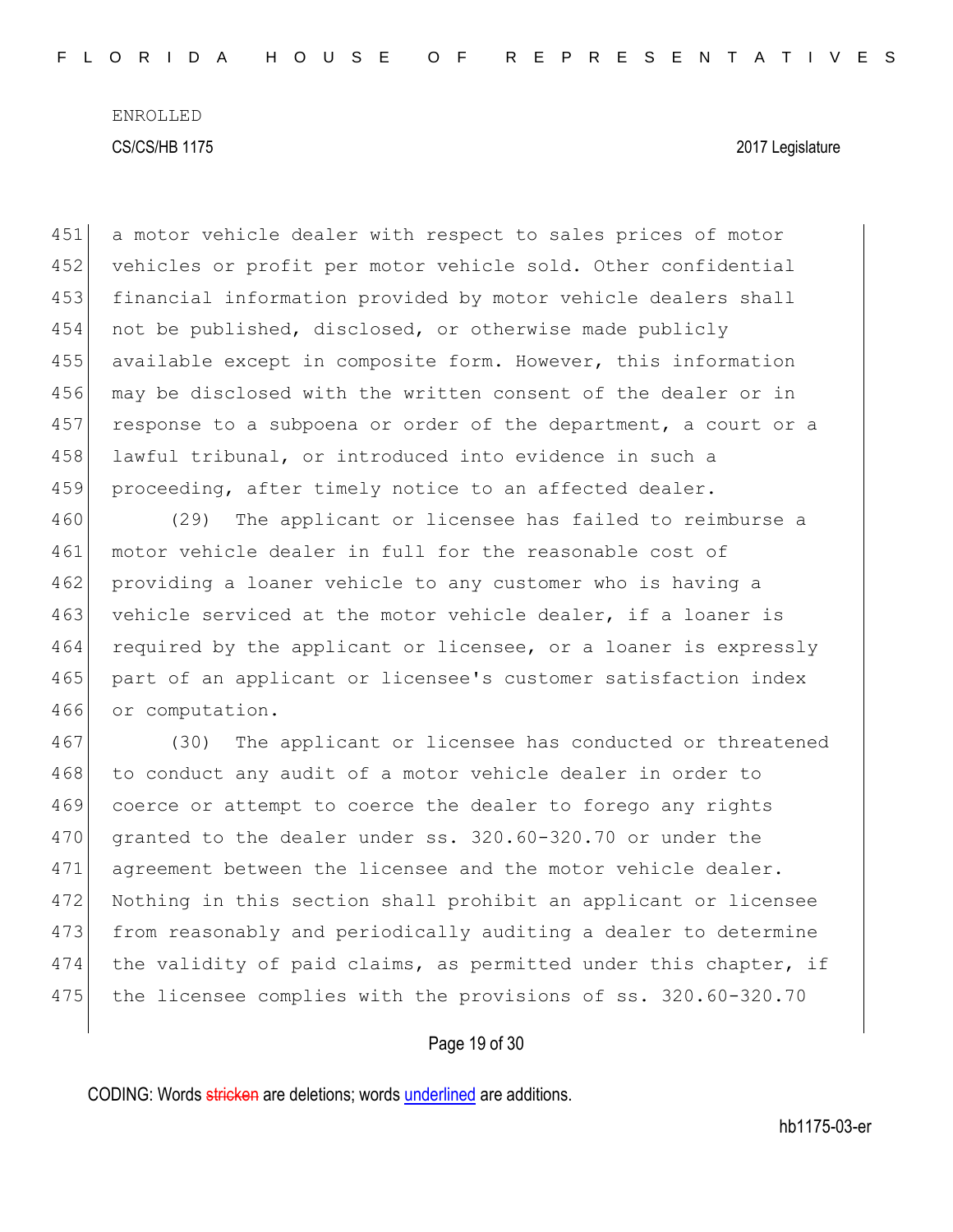451 a motor vehicle dealer with respect to sales prices of motor 452 vehicles or profit per motor vehicle sold. Other confidential 453 financial information provided by motor vehicle dealers shall 454 not be published, disclosed, or otherwise made publicly 455 available except in composite form. However, this information 456 may be disclosed with the written consent of the dealer or in 457 response to a subpoena or order of the department, a court or a 458 lawful tribunal, or introduced into evidence in such a 459 proceeding, after timely notice to an affected dealer. 460 (29) The applicant or licensee has failed to reimburse a 461 motor vehicle dealer in full for the reasonable cost of 462 providing a loaner vehicle to any customer who is having a 463 vehicle serviced at the motor vehicle dealer, if a loaner is 464 required by the applicant or licensee, or a loaner is expressly

465 part of an applicant or licensee's customer satisfaction index 466 or computation.

467 (30) The applicant or licensee has conducted or threatened 468 to conduct any audit of a motor vehicle dealer in order to 469 coerce or attempt to coerce the dealer to forego any rights 470 granted to the dealer under ss. 320.60-320.70 or under the 471 agreement between the licensee and the motor vehicle dealer. 472 Nothing in this section shall prohibit an applicant or licensee 473 from reasonably and periodically auditing a dealer to determine 474 the validity of paid claims, as permitted under this chapter, if 475 the licensee complies with the provisions of ss. 320.60-320.70

#### Page 19 of 30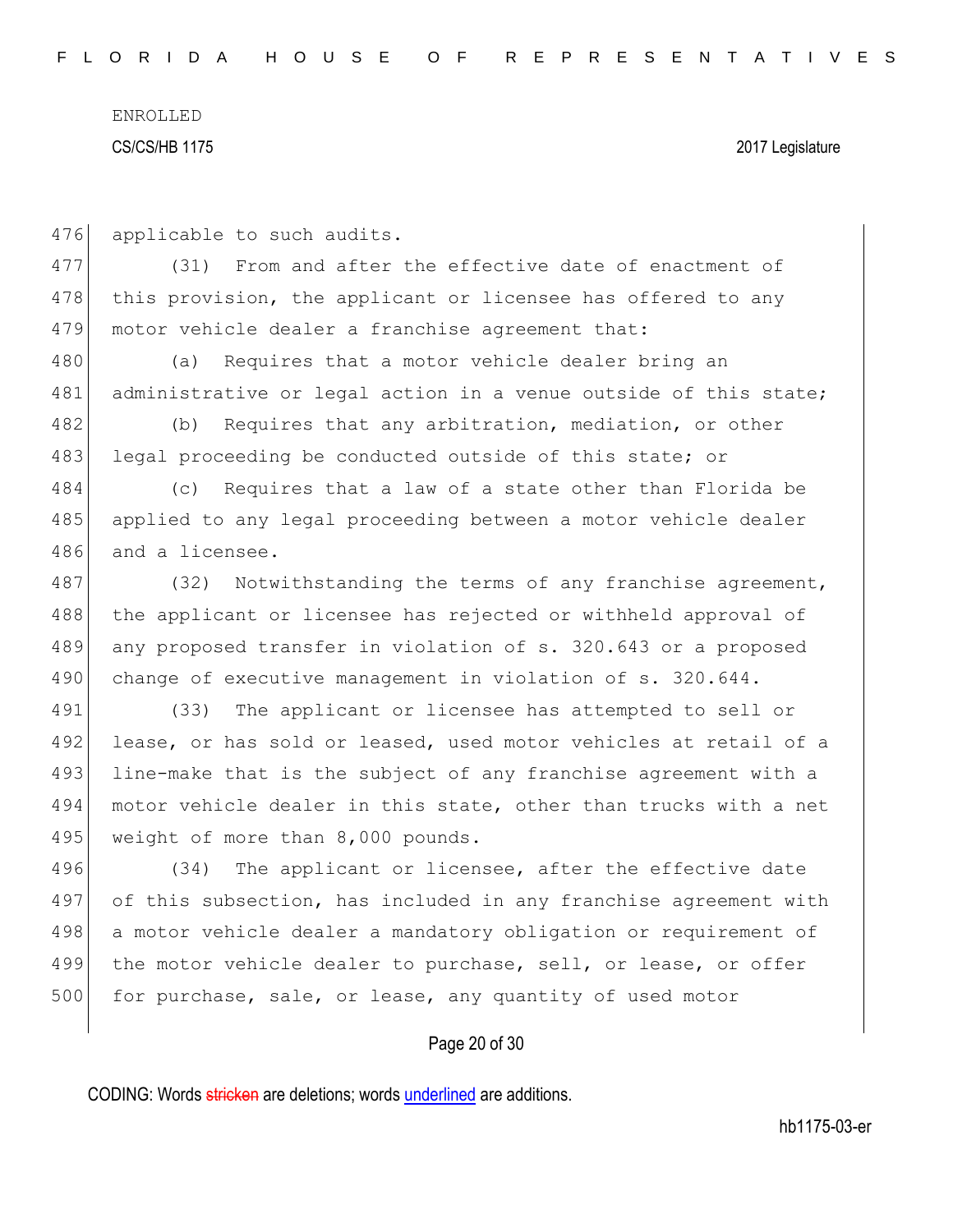476 applicable to such audits.

477 (31) From and after the effective date of enactment of 478 this provision, the applicant or licensee has offered to any 479 motor vehicle dealer a franchise agreement that:

480 (a) Requires that a motor vehicle dealer bring an 481 administrative or legal action in a venue outside of this state;

482 (b) Requires that any arbitration, mediation, or other 483 legal proceeding be conducted outside of this state; or

484 (c) Requires that a law of a state other than Florida be 485 applied to any legal proceeding between a motor vehicle dealer 486 and a licensee.

487 (32) Notwithstanding the terms of any franchise agreement, 488 the applicant or licensee has rejected or withheld approval of 489 any proposed transfer in violation of s. 320.643 or a proposed 490 change of executive management in violation of s. 320.644.

491 (33) The applicant or licensee has attempted to sell or 492 lease, or has sold or leased, used motor vehicles at retail of a 493 line-make that is the subject of any franchise agreement with a 494 motor vehicle dealer in this state, other than trucks with a net 495 weight of more than 8,000 pounds.

496 (34) The applicant or licensee, after the effective date 497 of this subsection, has included in any franchise agreement with 498 a motor vehicle dealer a mandatory obligation or requirement of 499 the motor vehicle dealer to purchase, sell, or lease, or offer 500 for purchase, sale, or lease, any quantity of used motor

### Page 20 of 30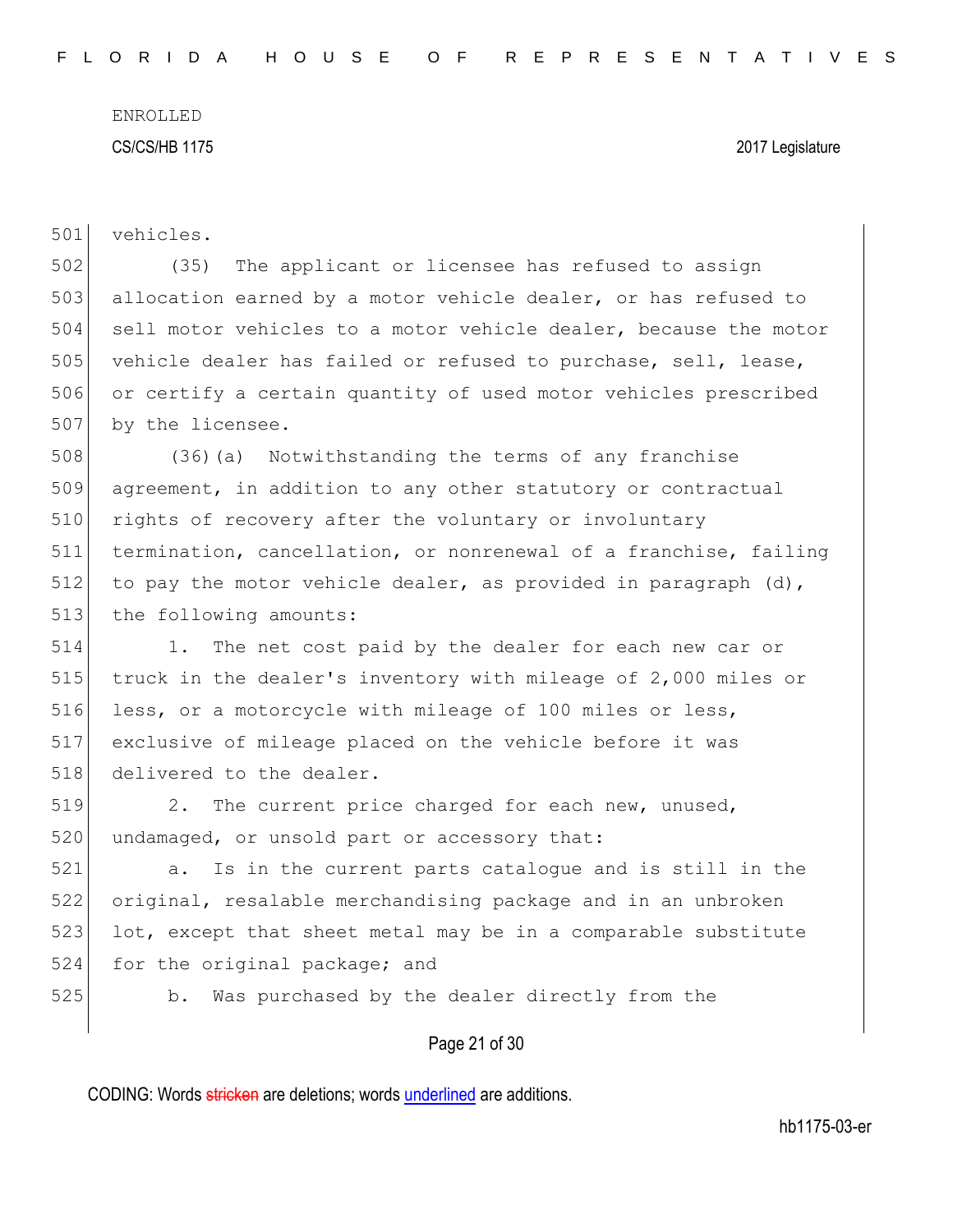501 vehicles.

502 (35) The applicant or licensee has refused to assign 503 allocation earned by a motor vehicle dealer, or has refused to 504 sell motor vehicles to a motor vehicle dealer, because the motor 505 vehicle dealer has failed or refused to purchase, sell, lease, 506 or certify a certain quantity of used motor vehicles prescribed 507 by the licensee.

508 (36)(a) Notwithstanding the terms of any franchise 509 agreement, in addition to any other statutory or contractual 510 rights of recovery after the voluntary or involuntary 511 termination, cancellation, or nonrenewal of a franchise, failing 512 to pay the motor vehicle dealer, as provided in paragraph  $(d)$ , 513 the following amounts:

514 1. The net cost paid by the dealer for each new car or 515 truck in the dealer's inventory with mileage of 2,000 miles or 516 less, or a motorcycle with mileage of 100 miles or less, 517 exclusive of mileage placed on the vehicle before it was 518 delivered to the dealer.

519 2. The current price charged for each new, unused, 520 undamaged, or unsold part or accessory that:

 a. Is in the current parts catalogue and is still in the original, resalable merchandising package and in an unbroken lot, except that sheet metal may be in a comparable substitute 524 for the original package; and

525 b. Was purchased by the dealer directly from the

### Page 21 of 30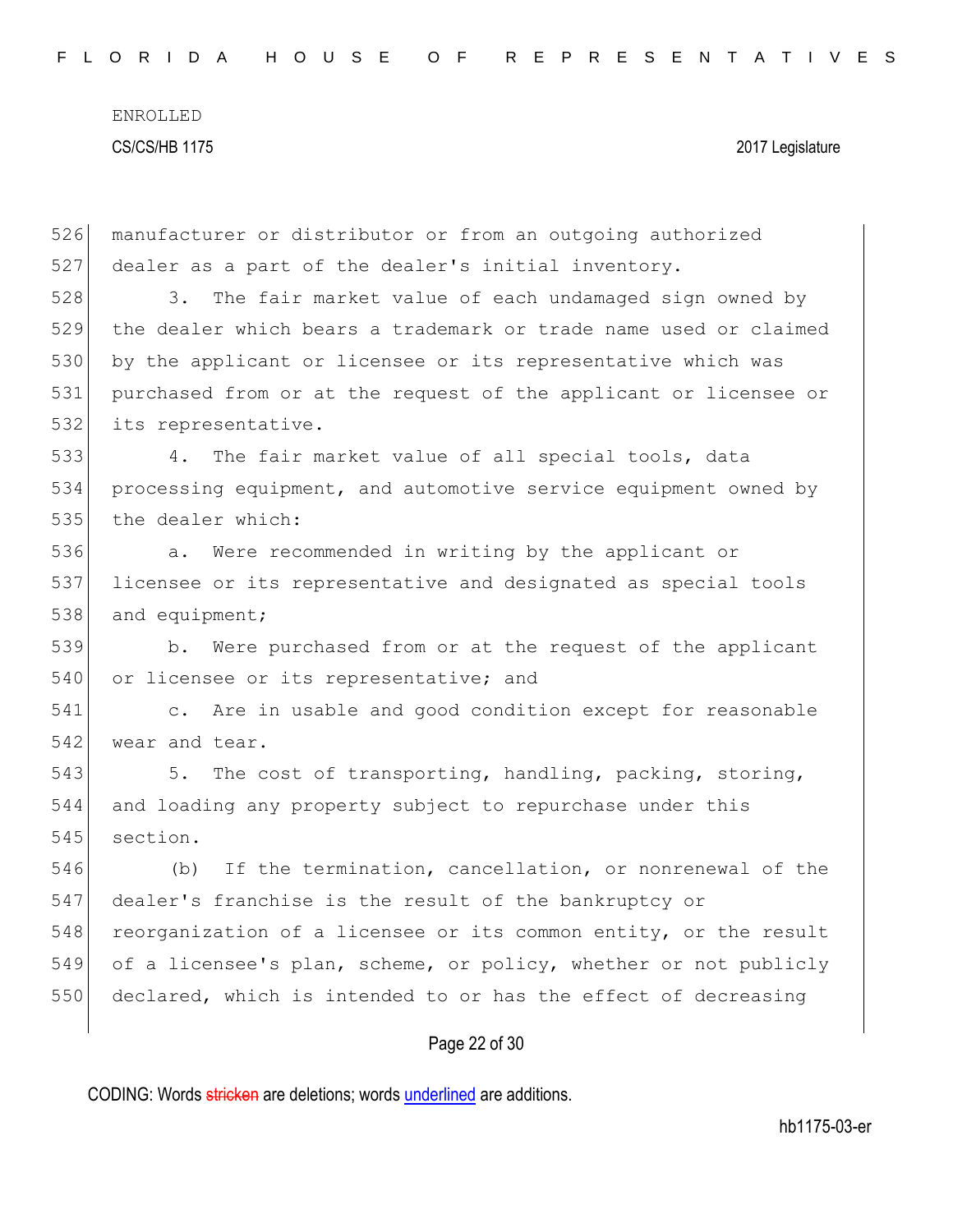| 526 | manufacturer or distributor or from an outgoing authorized       |
|-----|------------------------------------------------------------------|
| 527 | dealer as a part of the dealer's initial inventory.              |
| 528 | The fair market value of each undamaged sign owned by<br>3.      |
| 529 | the dealer which bears a trademark or trade name used or claimed |
| 530 | by the applicant or licensee or its representative which was     |
| 531 | purchased from or at the request of the applicant or licensee or |
| 532 | its representative.                                              |
| 533 | The fair market value of all special tools, data<br>4.           |
| 534 | processing equipment, and automotive service equipment owned by  |
| 535 | the dealer which:                                                |
| 536 | Were recommended in writing by the applicant or<br>a.            |
| 537 | licensee or its representative and designated as special tools   |
| 538 | and equipment;                                                   |
| 539 | Were purchased from or at the request of the applicant<br>b.     |
| 540 | or licensee or its representative; and                           |
| 541 | c. Are in usable and good condition except for reasonable        |
| 542 | wear and tear.                                                   |
| 543 | The cost of transporting, handling, packing, storing,<br>5.      |
| 544 | and loading any property subject to repurchase under this        |
| 545 | section.                                                         |
| 546 | If the termination, cancellation, or nonrenewal of the<br>(b)    |
| 547 | dealer's franchise is the result of the bankruptcy or            |
| 548 | reorganization of a licensee or its common entity, or the result |
| 549 | of a licensee's plan, scheme, or policy, whether or not publicly |
| 550 | declared, which is intended to or has the effect of decreasing   |
|     | Page 22 of 30                                                    |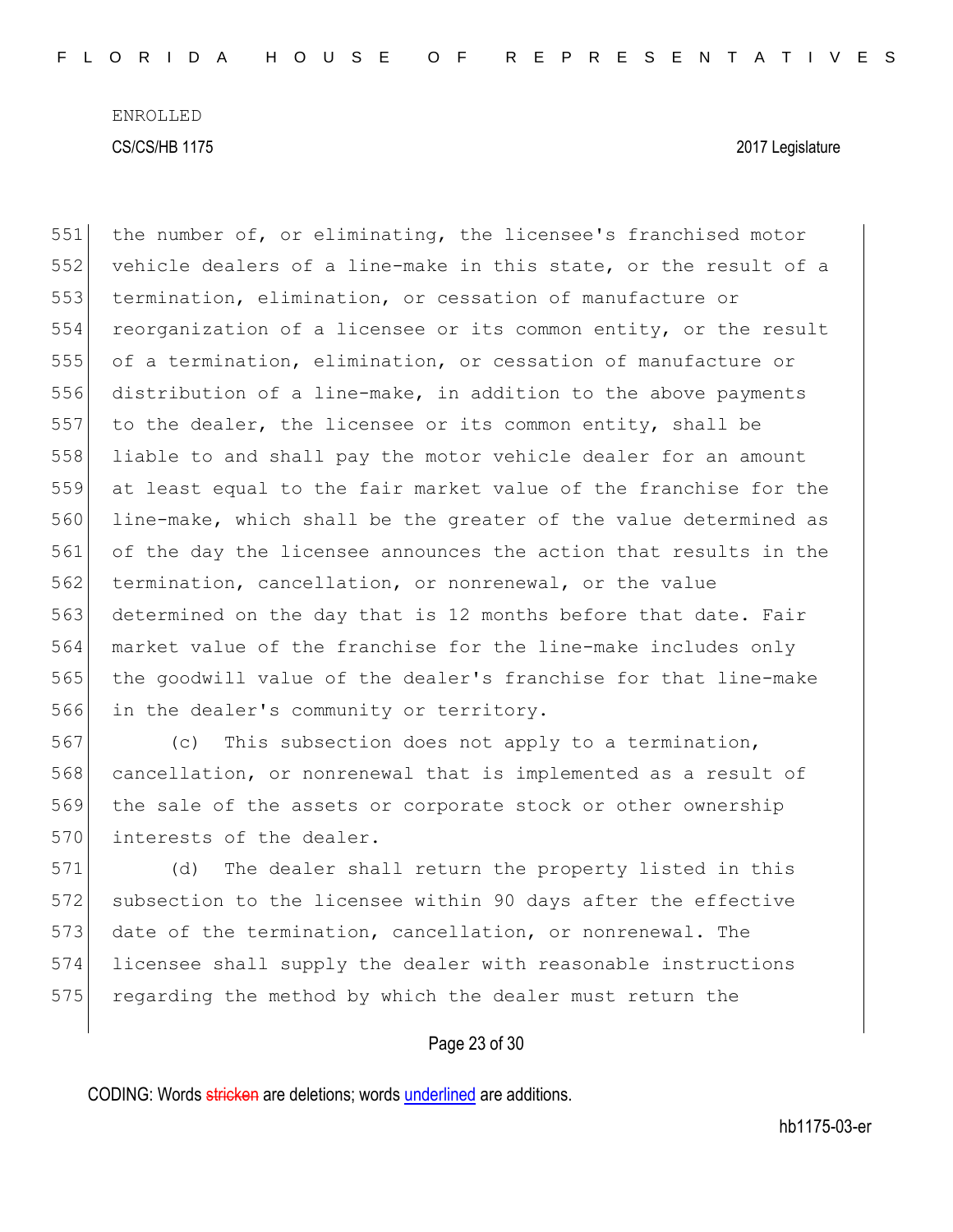551 the number of, or eliminating, the licensee's franchised motor vehicle dealers of a line-make in this state, or the result of a termination, elimination, or cessation of manufacture or 554 reorganization of a licensee or its common entity, or the result 555 of a termination, elimination, or cessation of manufacture or distribution of a line-make, in addition to the above payments to the dealer, the licensee or its common entity, shall be liable to and shall pay the motor vehicle dealer for an amount at least equal to the fair market value of the franchise for the line-make, which shall be the greater of the value determined as of the day the licensee announces the action that results in the 562 termination, cancellation, or nonrenewal, or the value 563 determined on the day that is 12 months before that date. Fair market value of the franchise for the line-make includes only the goodwill value of the dealer's franchise for that line-make in the dealer's community or territory.

 (c) This subsection does not apply to a termination, cancellation, or nonrenewal that is implemented as a result of the sale of the assets or corporate stock or other ownership 570 interests of the dealer.

571 (d) The dealer shall return the property listed in this 572 subsection to the licensee within 90 days after the effective 573 date of the termination, cancellation, or nonrenewal. The 574 licensee shall supply the dealer with reasonable instructions 575 regarding the method by which the dealer must return the

### Page 23 of 30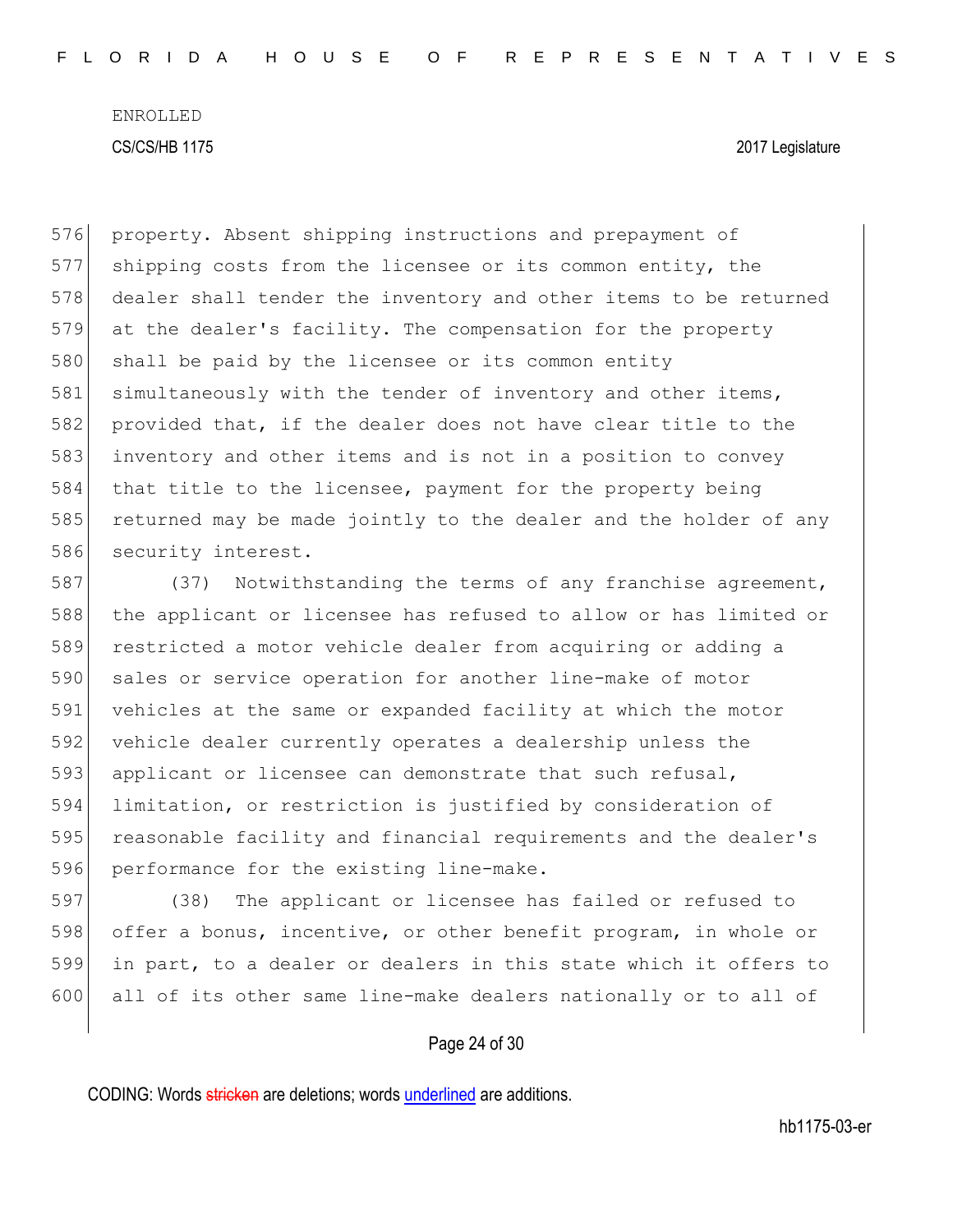576 property. Absent shipping instructions and prepayment of 577 shipping costs from the licensee or its common entity, the 578 dealer shall tender the inventory and other items to be returned 579 at the dealer's facility. The compensation for the property 580 shall be paid by the licensee or its common entity 581 simultaneously with the tender of inventory and other items, 582 provided that, if the dealer does not have clear title to the 583 inventory and other items and is not in a position to convey 584 that title to the licensee, payment for the property being 585 returned may be made jointly to the dealer and the holder of any 586 security interest.

587 (37) Notwithstanding the terms of any franchise agreement, 588 the applicant or licensee has refused to allow or has limited or 589 restricted a motor vehicle dealer from acquiring or adding a 590 sales or service operation for another line-make of motor 591 vehicles at the same or expanded facility at which the motor 592 vehicle dealer currently operates a dealership unless the 593 applicant or licensee can demonstrate that such refusal, 594 limitation, or restriction is justified by consideration of 595 reasonable facility and financial requirements and the dealer's 596 performance for the existing line-make.

 (38) The applicant or licensee has failed or refused to 598 offer a bonus, incentive, or other benefit program, in whole or in part, to a dealer or dealers in this state which it offers to all of its other same line-make dealers nationally or to all of

#### Page 24 of 30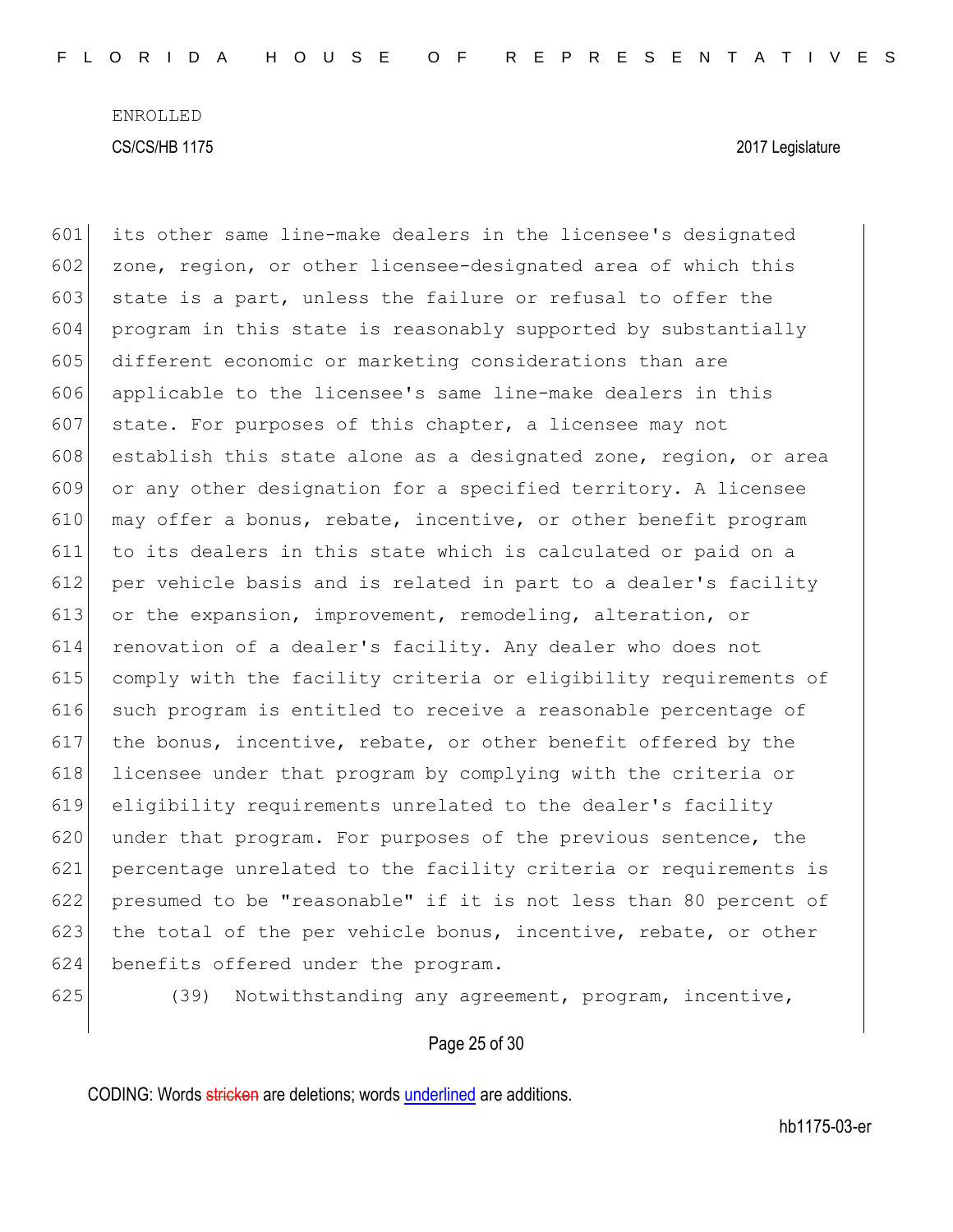its other same line-make dealers in the licensee's designated 602 zone, region, or other licensee-designated area of which this 603 state is a part, unless the failure or refusal to offer the program in this state is reasonably supported by substantially different economic or marketing considerations than are applicable to the licensee's same line-make dealers in this 607 state. For purposes of this chapter, a licensee may not 608 establish this state alone as a designated zone, region, or area or any other designation for a specified territory. A licensee 610 may offer a bonus, rebate, incentive, or other benefit program to its dealers in this state which is calculated or paid on a per vehicle basis and is related in part to a dealer's facility or the expansion, improvement, remodeling, alteration, or renovation of a dealer's facility. Any dealer who does not comply with the facility criteria or eligibility requirements of such program is entitled to receive a reasonable percentage of the bonus, incentive, rebate, or other benefit offered by the 618 licensee under that program by complying with the criteria or eligibility requirements unrelated to the dealer's facility 620 under that program. For purposes of the previous sentence, the percentage unrelated to the facility criteria or requirements is presumed to be "reasonable" if it is not less than 80 percent of 623 the total of the per vehicle bonus, incentive, rebate, or other benefits offered under the program.

625 (39) Notwithstanding any agreement, program, incentive,

#### Page 25 of 30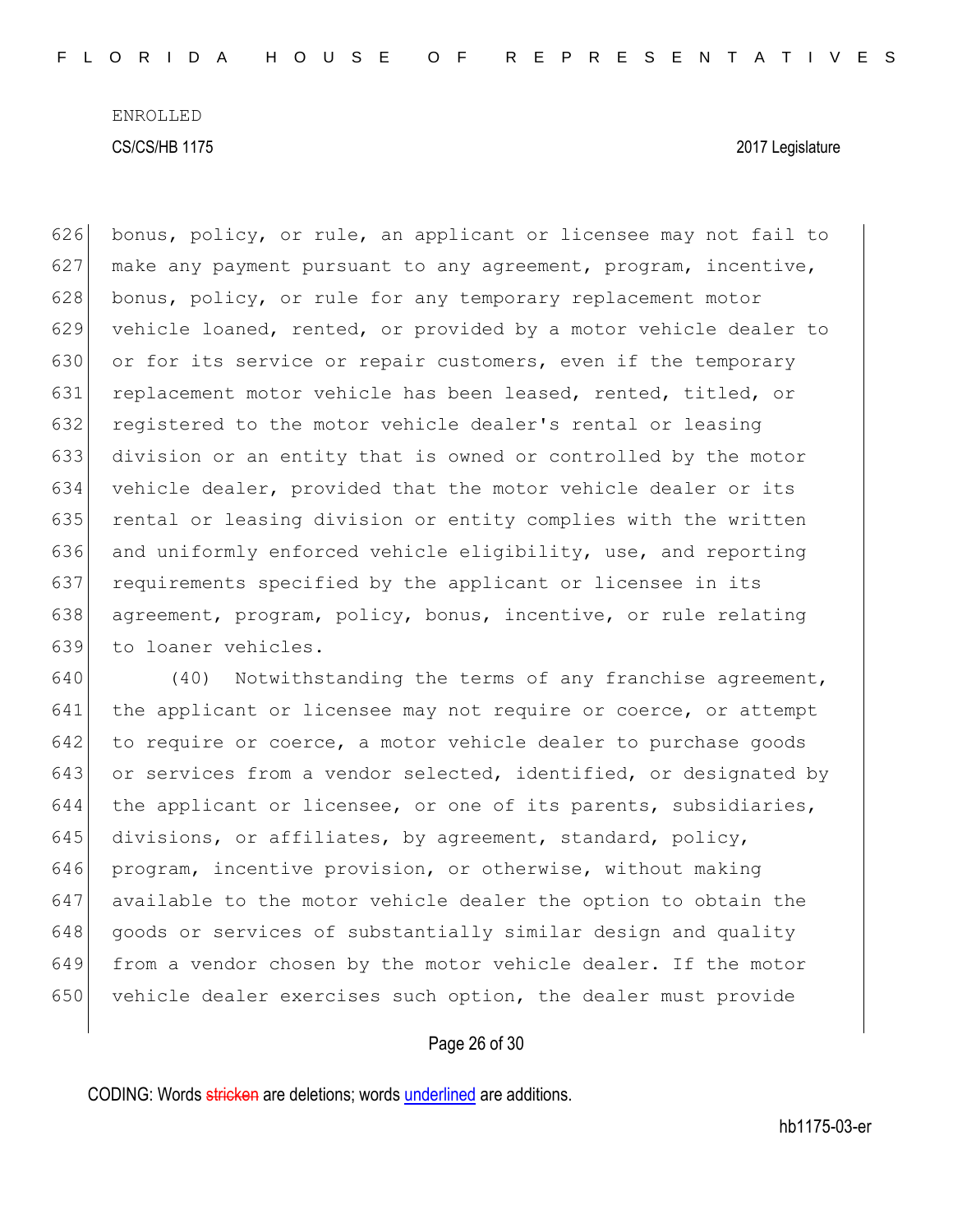626 bonus, policy, or rule, an applicant or licensee may not fail to 627 make any payment pursuant to any agreement, program, incentive, 628 bonus, policy, or rule for any temporary replacement motor 629 vehicle loaned, rented, or provided by a motor vehicle dealer to 630 or for its service or repair customers, even if the temporary 631 replacement motor vehicle has been leased, rented, titled, or 632 registered to the motor vehicle dealer's rental or leasing 633 division or an entity that is owned or controlled by the motor 634 vehicle dealer, provided that the motor vehicle dealer or its 635 rental or leasing division or entity complies with the written 636 and uniformly enforced vehicle eligibility, use, and reporting 637 requirements specified by the applicant or licensee in its 638 agreement, program, policy, bonus, incentive, or rule relating 639 to loaner vehicles.

640 (40) Notwithstanding the terms of any franchise agreement, the applicant or licensee may not require or coerce, or attempt 642 to require or coerce, a motor vehicle dealer to purchase goods or services from a vendor selected, identified, or designated by the applicant or licensee, or one of its parents, subsidiaries, 645 divisions, or affiliates, by agreement, standard, policy, program, incentive provision, or otherwise, without making available to the motor vehicle dealer the option to obtain the 648 goods or services of substantially similar design and quality from a vendor chosen by the motor vehicle dealer. If the motor vehicle dealer exercises such option, the dealer must provide

#### Page 26 of 30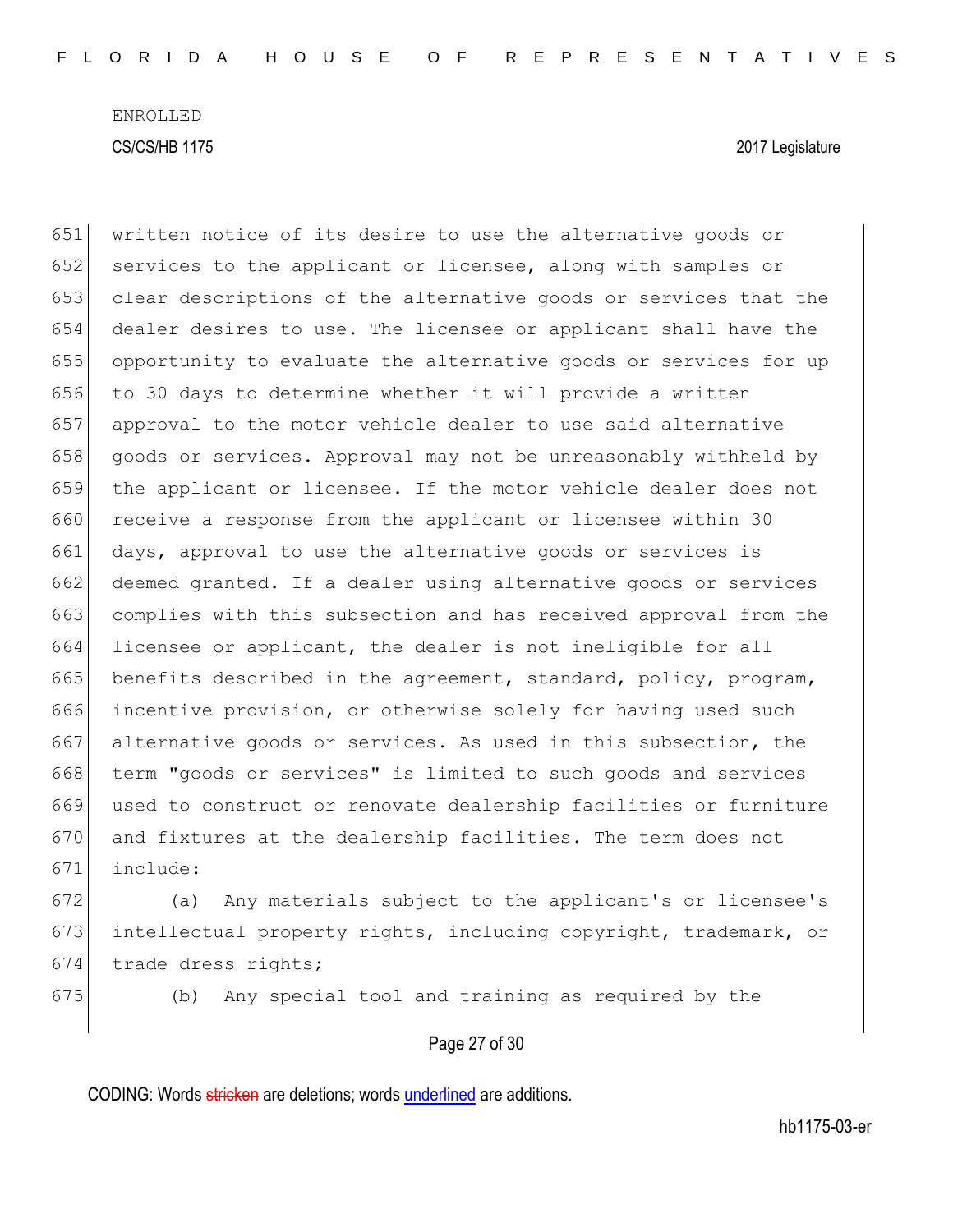651 written notice of its desire to use the alternative goods or 652 services to the applicant or licensee, along with samples or 653 clear descriptions of the alternative goods or services that the 654 dealer desires to use. The licensee or applicant shall have the 655 opportunity to evaluate the alternative goods or services for up 656 to 30 days to determine whether it will provide a written 657 approval to the motor vehicle dealer to use said alternative 658 goods or services. Approval may not be unreasonably withheld by 659 the applicant or licensee. If the motor vehicle dealer does not 660 receive a response from the applicant or licensee within 30 661 days, approval to use the alternative goods or services is 662 deemed granted. If a dealer using alternative goods or services 663 complies with this subsection and has received approval from the 664 licensee or applicant, the dealer is not ineligible for all 665 benefits described in the agreement, standard, policy, program, 666 incentive provision, or otherwise solely for having used such 667 alternative goods or services. As used in this subsection, the 668 term "goods or services" is limited to such goods and services 669 used to construct or renovate dealership facilities or furniture 670 and fixtures at the dealership facilities. The term does not 671 include:

672 (a) Any materials subject to the applicant's or licensee's 673 intellectual property rights, including copyright, trademark, or 674 trade dress rights;

675 (b) Any special tool and training as required by the

#### Page 27 of 30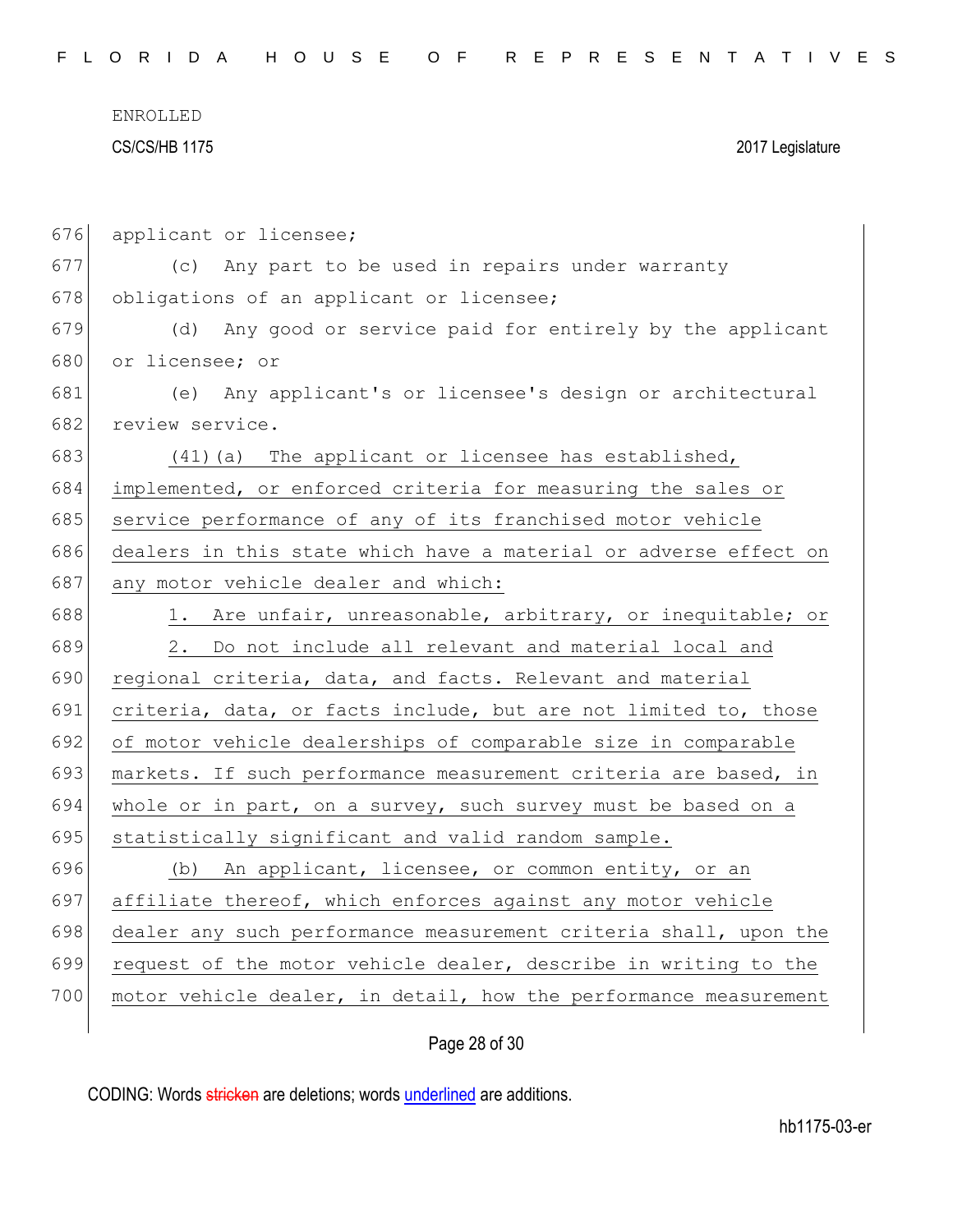| 676 | applicant or licensee;                                           |
|-----|------------------------------------------------------------------|
| 677 | Any part to be used in repairs under warranty<br>(C)             |
| 678 | obligations of an applicant or licensee;                         |
| 679 | Any good or service paid for entirely by the applicant<br>(d)    |
| 680 | or licensee; or                                                  |
| 681 | (e) Any applicant's or licensee's design or architectural        |
| 682 | review service.                                                  |
| 683 | (41) (a) The applicant or licensee has established,              |
| 684 | implemented, or enforced criteria for measuring the sales or     |
| 685 | service performance of any of its franchised motor vehicle       |
| 686 | dealers in this state which have a material or adverse effect on |
| 687 | any motor vehicle dealer and which:                              |
| 688 | Are unfair, unreasonable, arbitrary, or inequitable; or<br>1.    |
| 689 | Do not include all relevant and material local and<br>2.         |
| 690 | regional criteria, data, and facts. Relevant and material        |
| 691 | criteria, data, or facts include, but are not limited to, those  |
| 692 | of motor vehicle dealerships of comparable size in comparable    |
| 693 | markets. If such performance measurement criteria are based, in  |
| 694 | whole or in part, on a survey, such survey must be based on a    |
| 695 | statistically significant and valid random sample.               |
| 696 | (b) An applicant, licensee, or common entity, or an              |
| 697 | affiliate thereof, which enforces against any motor vehicle      |
| 698 | dealer any such performance measurement criteria shall, upon the |
| 699 | request of the motor vehicle dealer, describe in writing to the  |
| 700 | motor vehicle dealer, in detail, how the performance measurement |
|     |                                                                  |

Page 28 of 30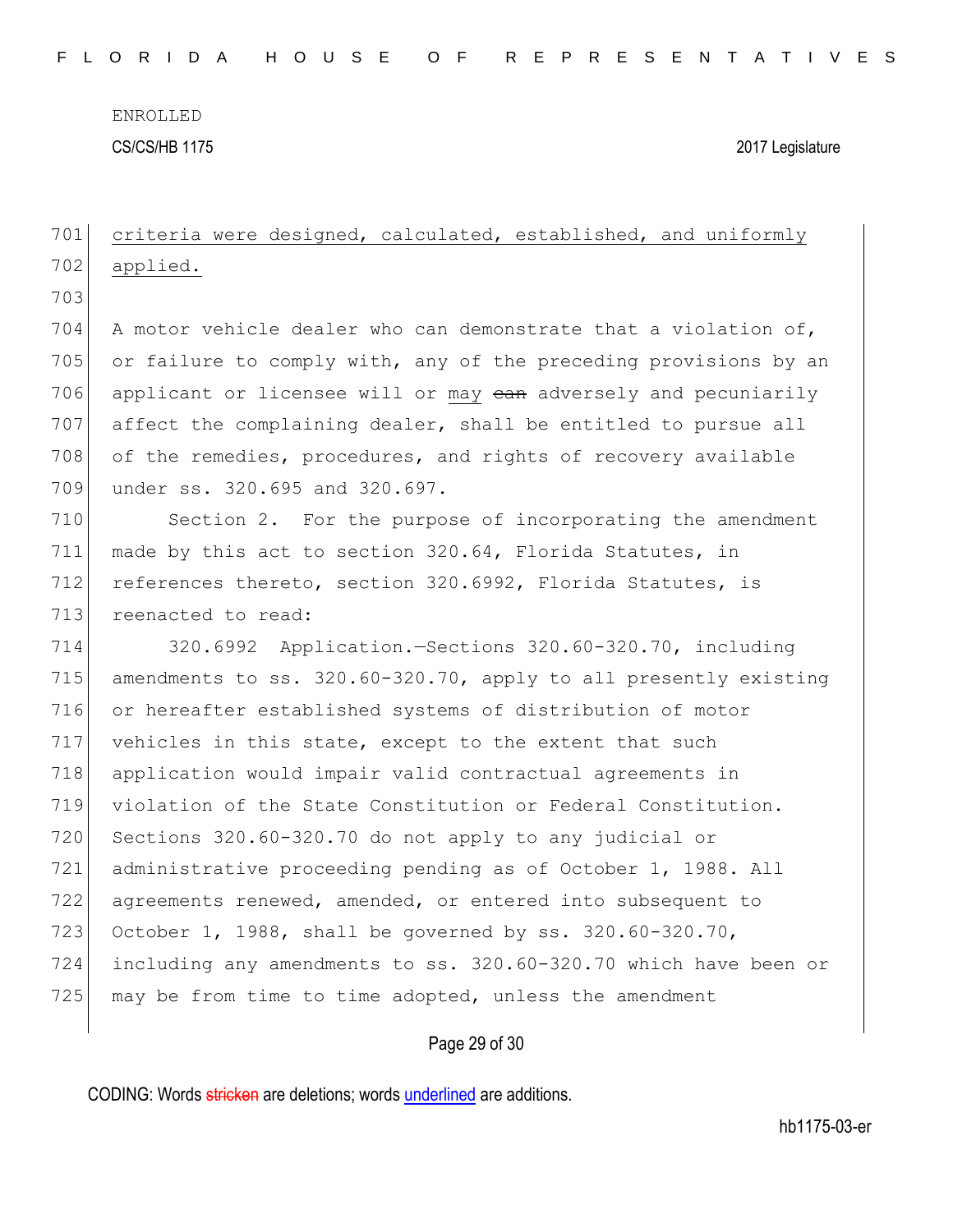# 701 criteria were designed, calculated, established, and uniformly 702 applied. 703 704 A motor vehicle dealer who can demonstrate that a violation of, 705 or failure to comply with, any of the preceding provisions by an 706 applicant or licensee will or may ean adversely and pecuniarily 707 affect the complaining dealer, shall be entitled to pursue all 708 of the remedies, procedures, and rights of recovery available 709 under ss. 320.695 and 320.697. 710 Section 2. For the purpose of incorporating the amendment 711 made by this act to section 320.64, Florida Statutes, in 712 references thereto, section 320.6992, Florida Statutes, is 713 reenacted to read: 714 320.6992 Application.—Sections 320.60-320.70, including 715 amendments to ss.  $320.60 - 320.70$ , apply to all presently existing 716 or hereafter established systems of distribution of motor 717 vehicles in this state, except to the extent that such 718 application would impair valid contractual agreements in 719 violation of the State Constitution or Federal Constitution. 720 Sections 320.60-320.70 do not apply to any judicial or 721 administrative proceeding pending as of October 1, 1988. All 722 agreements renewed, amended, or entered into subsequent to 723 October 1, 1988, shall be governed by ss. 320.60-320.70, 724 including any amendments to ss. 320.60-320.70 which have been or

725 may be from time to time adopted, unless the amendment

#### Page 29 of 30